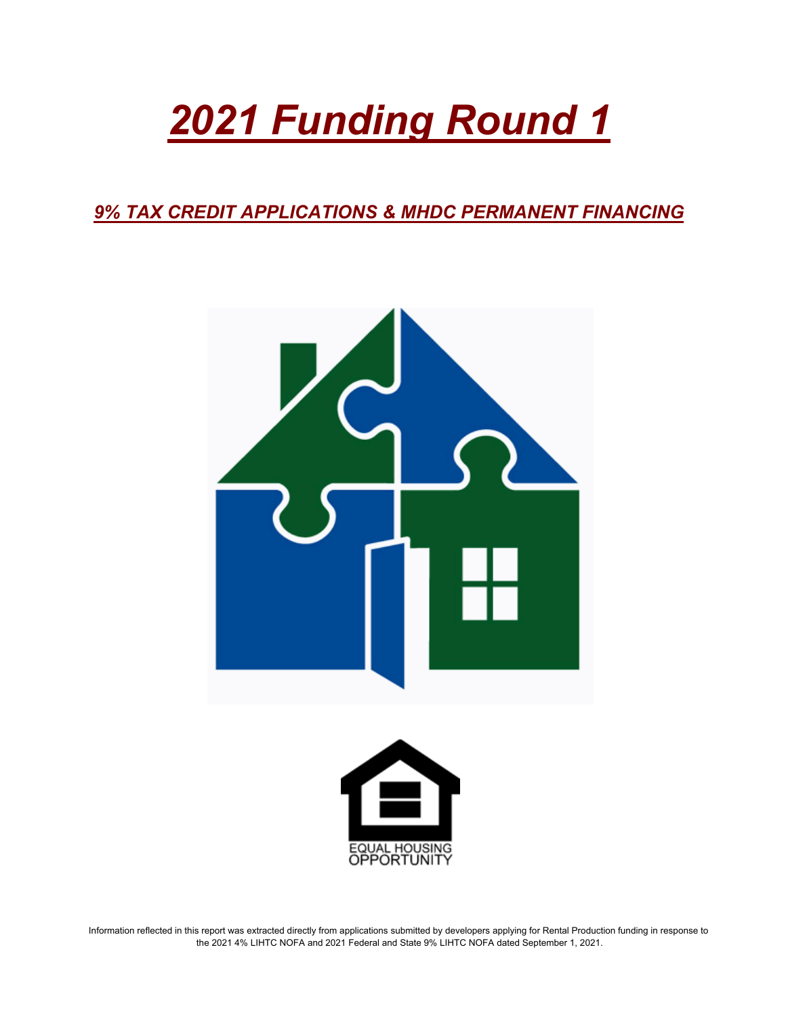# *2021 Funding Round 1*

*9% TAX CREDIT APPLICATIONS & MHDC PERMANENT FINANCING*





Information reflected in this report was extracted directly from applications submitted by developers applying for Rental Production funding in response to the 2021 4% LIHTC NOFA and 2021 Federal and State 9% LIHTC NOFA dated September 1, 2021.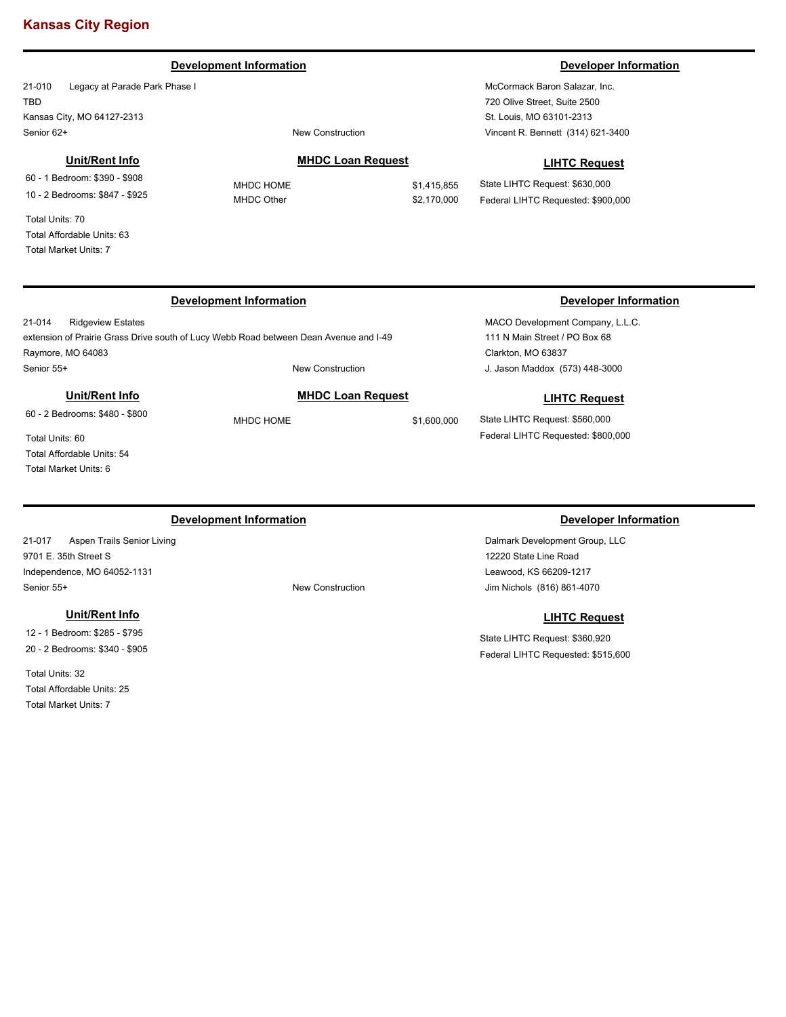#### **Development Information Developer Information**

21-010 Legacy at Parade Park Phase I TBD Kansas City, MO 64127-2313 Senior 62+ New Construction

### **Unit/Rent Info**

60 - 1 Bedroom: \$390 - \$908 10 - 2 Bedrooms: \$847 - \$925

Total Units: 70 Total Affordable Units: 63 Total Market Units: 7

### **MHDC Loan Request**

**MHDC Loan Request** MHDC HOME \$1,600,000

MHDC HOME \$1,415,855 MHDC Other \$2,170,000

# **LIHTC Request**

State LIHTC Request: \$630,000 Federal LIHTC Requested: \$900,000

### **Development Information Developer Information**

21-014 Ridgeview Estates extension of Prairie Grass Drive south of Lucy Webb Road between Dean Avenue and I-49 Raymore, MO 64083 Senior 55+ New Construction

### **Unit/Rent Info**

60 - 2 Bedrooms: \$480 - \$800

Total Units: 60 Total Affordable Units: 54 Total Market Units: 6

### **Development Information Developer Information**

21-017 Aspen Trails Senior Living 9701 E. 35th Street S Independence, MO 64052-1131 Senior 55+ New Construction

#### **Unit/Rent Info**

12 - 1 Bedroom: \$285 - \$795 20 - 2 Bedrooms: \$340 - \$905

Total Units: 32 Total Affordable Units: 25 Total Market Units: 7

MACO Development Company, L.L.C. 111 N Main Street / PO Box 68 Clarkton, MO 63837 J. Jason Maddox (573) 448-3000

#### **LIHTC Request**

State LIHTC Request: \$560,000 Federal LIHTC Requested: \$800,000

Dalmark Development Group, LLC 12220 State Line Road Leawood, KS 66209-1217 Jim Nichols (816) 861-4070

#### **LIHTC Request**

State LIHTC Request: \$360,920 Federal LIHTC Requested: \$515,600

McCormack Baron Salazar, Inc. 720 Olive Street, Suite 2500 St. Louis, MO 63101-2313 Vincent R. Bennett (314) 621-3400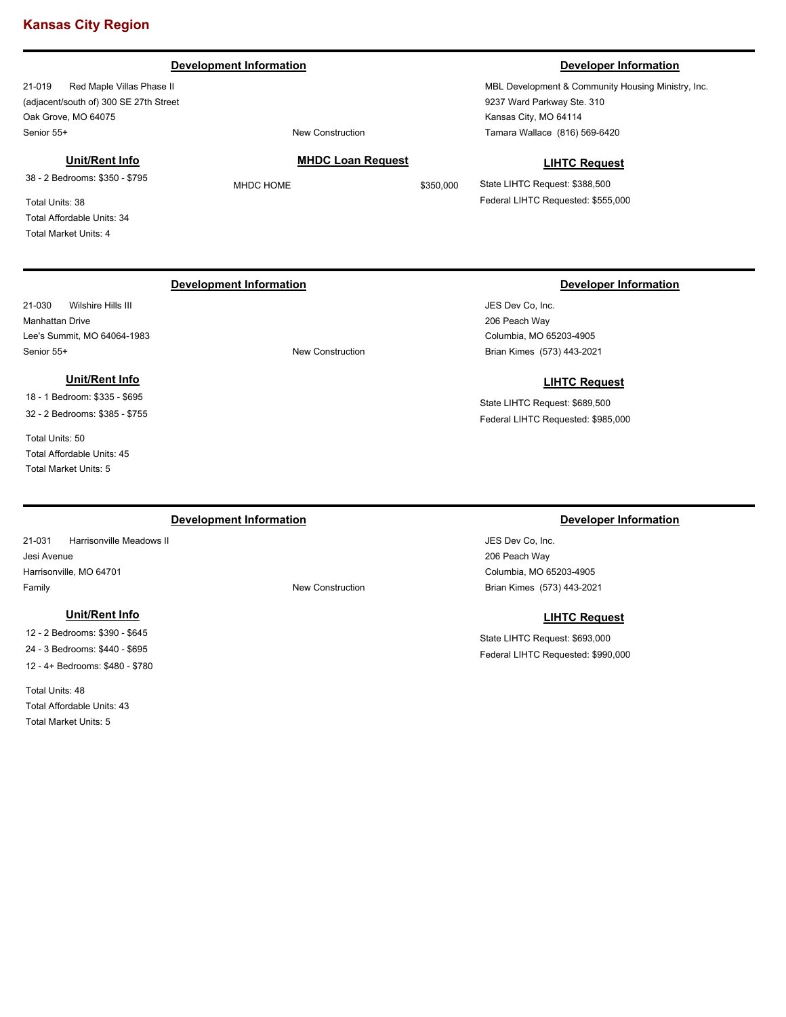#### **Development Information Developer Information**

21-019 Red Maple Villas Phase II (adjacent/south of) 300 SE 27th Street Oak Grove, MO 64075 Senior 55+ New Construction

### **Unit/Rent Info**

38 - 2 Bedrooms: \$350 - \$795

Total Units: 38 Total Affordable Units: 34 Total Market Units: 4

### **MHDC Loan Request**

MHDC HOME \$350,000

MBL Development & Community Housing Ministry, Inc. 9237 Ward Parkway Ste. 310 Kansas City, MO 64114 Tamara Wallace (816) 569-6420

#### **LIHTC Request**

State LIHTC Request: \$388,500 Federal LIHTC Requested: \$555,000

21-030 Wilshire Hills III Manhattan Drive Lee's Summit, MO 64064-1983 Senior 55+ New Construction

# **Unit/Rent Info**

18 - 1 Bedroom: \$335 - \$695 32 - 2 Bedrooms: \$385 - \$755

Total Units: 50 Total Affordable Units: 45 Total Market Units: 5

### **Development Information Developer Information**

21-031 Harrisonville Meadows II Jesi Avenue Harrisonville, MO 64701 Family **Family Family New Construction** 

#### **Unit/Rent Info**

12 - 2 Bedrooms: \$390 - \$645 24 - 3 Bedrooms: \$440 - \$695 12 - 4+ Bedrooms: \$480 - \$780

Total Units: 48 Total Affordable Units: 43 Total Market Units: 5

### **Development Information Developer Information**

JES Dev Co, Inc. 206 Peach Way Columbia, MO 65203-4905 Brian Kimes (573) 443-2021

### **LIHTC Request**

State LIHTC Request: \$689,500 Federal LIHTC Requested: \$985,000

JES Dev Co, Inc. 206 Peach Way Columbia, MO 65203-4905 Brian Kimes (573) 443-2021

### **LIHTC Request**

State LIHTC Request: \$693,000 Federal LIHTC Requested: \$990,000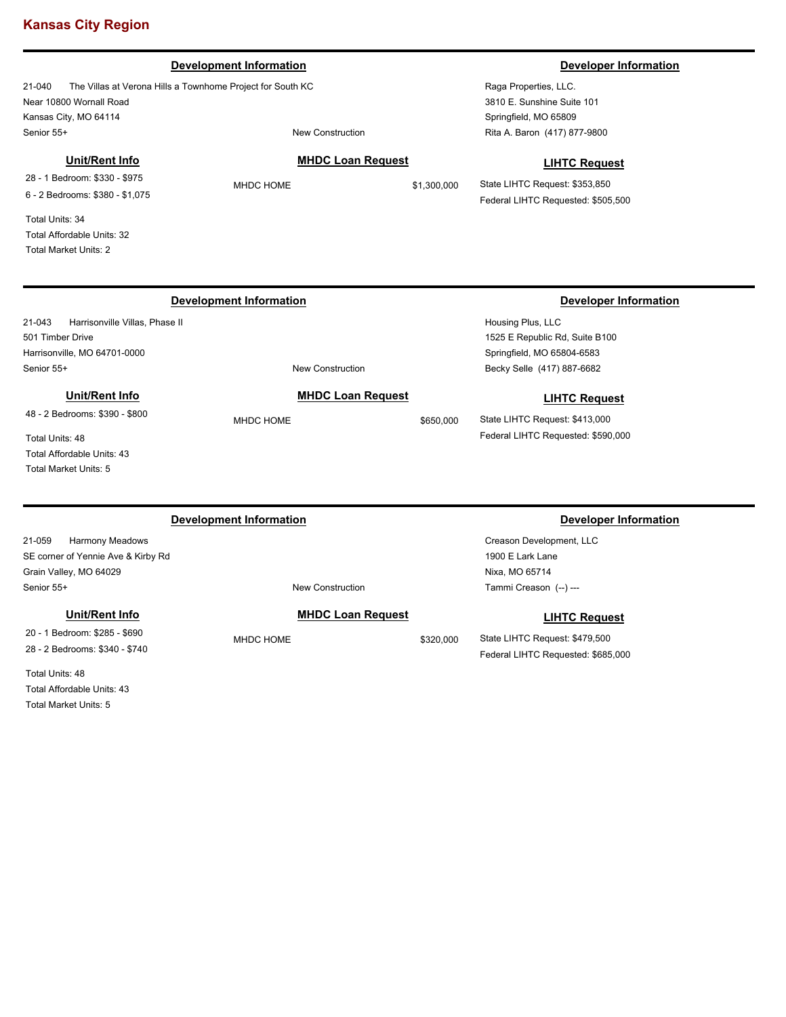#### **Development Information Developer Information**

21-040 The Villas at Verona Hills a Townhome Project for South KC Near 10800 Wornall Road Kansas City, MO 64114 Senior 55+ New Construction

### **Unit/Rent Info**

28 - 1 Bedroom: \$330 - \$975 6 - 2 Bedrooms: \$380 - \$1,075

Total Units: 34 Total Affordable Units: 32 Total Market Units: 2

Raga Properties, LLC. 3810 E. Sunshine Suite 101 Springfield, MO 65809 Rita A. Baron (417) 877-9800

### **MHDC Loan Request**

MHDC HOME \$1,300,000

### **LIHTC Request**

State LIHTC Request: \$353,850 Federal LIHTC Requested: \$505,500

21-043 Harrisonville Villas, Phase II 501 Timber Drive Harrisonville, MO 64701-0000 Senior 55+ New Construction

### **Unit/Rent Info**

48 - 2 Bedrooms: \$390 - \$800

Total Units: 48 Total Affordable Units: 43 Total Market Units: 5

#### **Development Information Developer Information**

21-059 Harmony Meadows SE corner of Yennie Ave & Kirby Rd Grain Valley, MO 64029 Senior 55+ New Construction

### **Unit/Rent Info**

20 - 1 Bedroom: \$285 - \$690 28 - 2 Bedrooms: \$340 - \$740

Total Units: 48 Total Affordable Units: 43 Total Market Units: 5

### **MHDC Loan Request**

MHDC HOME \$650,000

#### **Development Information Developer Information**

Housing Plus, LLC 1525 E Republic Rd, Suite B100 Springfield, MO 65804-6583 Becky Selle (417) 887-6682

#### **LIHTC Request**

State LIHTC Request: \$413,000 Federal LIHTC Requested: \$590,000

Creason Development, LLC 1900 E Lark Lane Nixa, MO 65714 Tammi Creason (--) ---

#### **LIHTC Request**

State LIHTC Request: \$479,500 Federal LIHTC Requested: \$685,000

### **MHDC Loan Request**

MHDC HOME \$320,000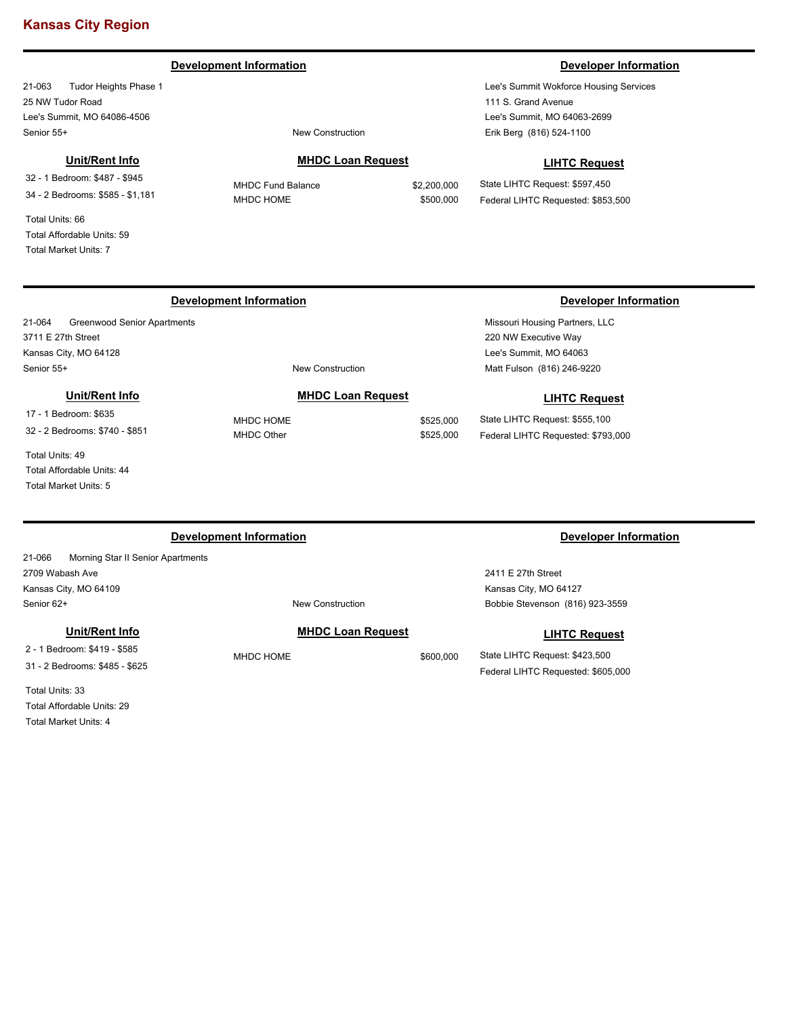### **Development Information Developer Information**

21-063 Tudor Heights Phase 1 25 NW Tudor Road Lee's Summit, MO 64086-4506 Senior 55+ New Construction

### **Unit/Rent Info**

32 - 1 Bedroom: \$487 - \$945 34 - 2 Bedrooms: \$585 - \$1,181

Total Units: 66 Total Affordable Units: 59 Total Market Units: 7

#### **MHDC Loan Request**

MHDC Fund Balance \$2,200,000 MHDC HOME \$500,000

**LIHTC Request**

Lee's Summit Wokforce Housing Services

State LIHTC Request: \$597,450 Federal LIHTC Requested: \$853,500

111 S. Grand Avenue Lee's Summit, MO 64063-2699

Erik Berg (816) 524-1100

### **Development Information Developer Information**

21-064 Greenwood Senior Apartments 3711 E 27th Street Kansas City, MO 64128

**Unit/Rent Info**

# **MHDC Loan Request**

MHDC HOME \$525,000 MHDC Other  $$525,000$ 

Missouri Housing Partners, LLC 220 NW Executive Way Lee's Summit, MO 64063 Matt Fulson (816) 246-9220

#### **LIHTC Request**

State LIHTC Request: \$555,100 Federal LIHTC Requested: \$793,000

Total Units: 49 Total Affordable Units: 44 Total Market Units: 5

17 - 1 Bedroom: \$635 32 - 2 Bedrooms: \$740 - \$851

21-066 Morning Star II Senior Apartments 2709 Wabash Ave Kansas City, MO 64109 Senior 62+ New Construction

**Unit/Rent Info**

2 - 1 Bedroom: \$419 - \$585 31 - 2 Bedrooms: \$485 - \$625

Total Units: 33 Total Affordable Units: 29 Total Market Units: 4

# **MHDC Loan Request**

MHDC HOME \$600,000

### **Development Information Developer Information**

2411 E 27th Street Kansas City, MO 64127 Bobbie Stevenson (816) 923-3559

**LIHTC Request**

State LIHTC Request: \$423,500 Federal LIHTC Requested: \$605,000

# Senior 55+ New Construction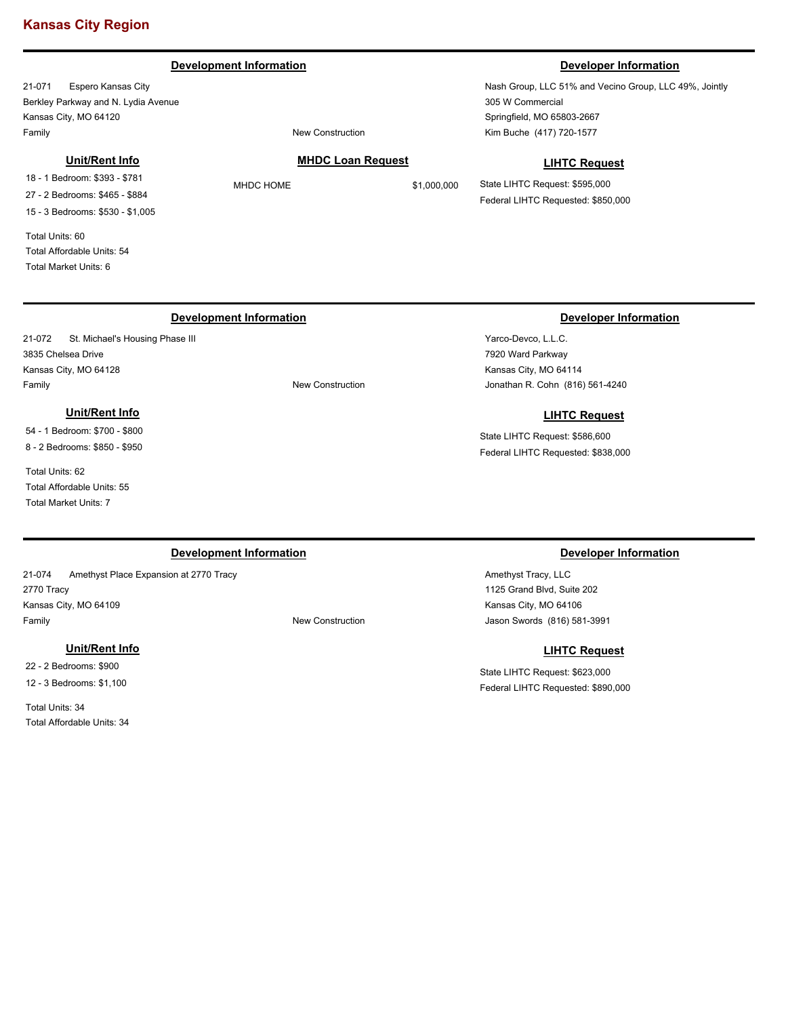### **Development Information Developer Information**

21-071 Espero Kansas City Berkley Parkway and N. Lydia Avenue Kansas City, MO 64120 Family **Family Family New Construction** 

### **Unit/Rent Info**

18 - 1 Bedroom: \$393 - \$781 27 - 2 Bedrooms: \$465 - \$884 15 - 3 Bedrooms: \$530 - \$1,005

Total Units: 60 Total Affordable Units: 54 Total Market Units: 6

### **MHDC Loan Request**

MHDC HOME \$1,000,000

Nash Group, LLC 51% and Vecino Group, LLC 49%, Jointly 305 W Commercial Springfield, MO 65803-2667 Kim Buche (417) 720-1577

#### **LIHTC Request**

State LIHTC Request: \$595,000 Federal LIHTC Requested: \$850,000

21-072 St. Michael's Housing Phase III 3835 Chelsea Drive Kansas City, MO 64128 Family **Family Family New Construction** 

### **Unit/Rent Info**

54 - 1 Bedroom: \$700 - \$800 8 - 2 Bedrooms: \$850 - \$950

Total Units: 62 Total Affordable Units: 55 Total Market Units: 7

### **Development Information Developer Information**

21-074 Amethyst Place Expansion at 2770 Tracy 2770 Tracy Kansas City, MO 64109 Family **Family Family New Construction** 

### **Unit/Rent Info**

22 - 2 Bedrooms: \$900 12 - 3 Bedrooms: \$1,100

Total Units: 34 Total Affordable Units: 34

#### **Development Information Developer Information**

Yarco-Devco, L.L.C. 7920 Ward Parkway Kansas City, MO 64114 Jonathan R. Cohn (816) 561-4240

#### **LIHTC Request**

State LIHTC Request: \$586,600 Federal LIHTC Requested: \$838,000

Amethyst Tracy, LLC 1125 Grand Blvd, Suite 202 Kansas City, MO 64106 Jason Swords (816) 581-3991

#### **LIHTC Request**

State LIHTC Request: \$623,000 Federal LIHTC Requested: \$890,000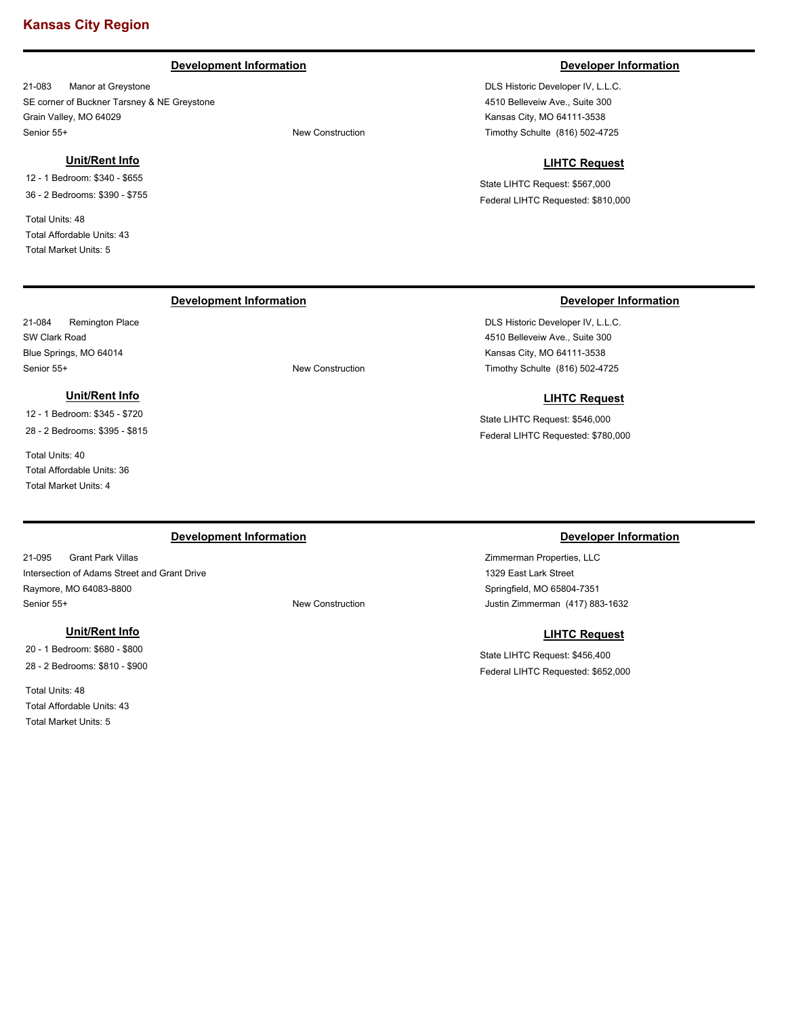### **Development Information Developer Information**

21-083 Manor at Greystone SE corner of Buckner Tarsney & NE Greystone Grain Valley, MO 64029 Senior 55+ New Construction

#### **Unit/Rent Info**

12 - 1 Bedroom: \$340 - \$655 36 - 2 Bedrooms: \$390 - \$755

Total Units: 48 Total Affordable Units: 43 Total Market Units: 5

21-084 Remington Place

**Unit/Rent Info** 12 - 1 Bedroom: \$345 - \$720 28 - 2 Bedrooms: \$395 - \$815

SW Clark Road Blue Springs, MO 64014

Total Units: 40

Total Affordable Units: 36 Total Market Units: 4

DLS Historic Developer IV, L.L.C. 4510 Belleveiw Ave., Suite 300 Kansas City, MO 64111-3538 Timothy Schulte (816) 502-4725

### **LIHTC Request**

State LIHTC Request: \$567,000 Federal LIHTC Requested: \$810,000

### **Development Information Developer Information**

DLS Historic Developer IV, L.L.C. 4510 Belleveiw Ave., Suite 300 Kansas City, MO 64111-3538 Timothy Schulte (816) 502-4725

#### **LIHTC Request**

State LIHTC Request: \$546,000 Federal LIHTC Requested: \$780,000

21-095 Grant Park Villas Intersection of Adams Street and Grant Drive Raymore, MO 64083-8800 Senior 55+ New Construction

#### **Unit/Rent Info**

20 - 1 Bedroom: \$680 - \$800 28 - 2 Bedrooms: \$810 - \$900

Total Units: 48 Total Affordable Units: 43 Total Market Units: 5

# **Development Information Developer Information**

Zimmerman Properties, LLC 1329 East Lark Street Springfield, MO 65804-7351 Justin Zimmerman (417) 883-1632

### **LIHTC Request**

State LIHTC Request: \$456,400 Federal LIHTC Requested: \$652,000

Senior 55+ New Construction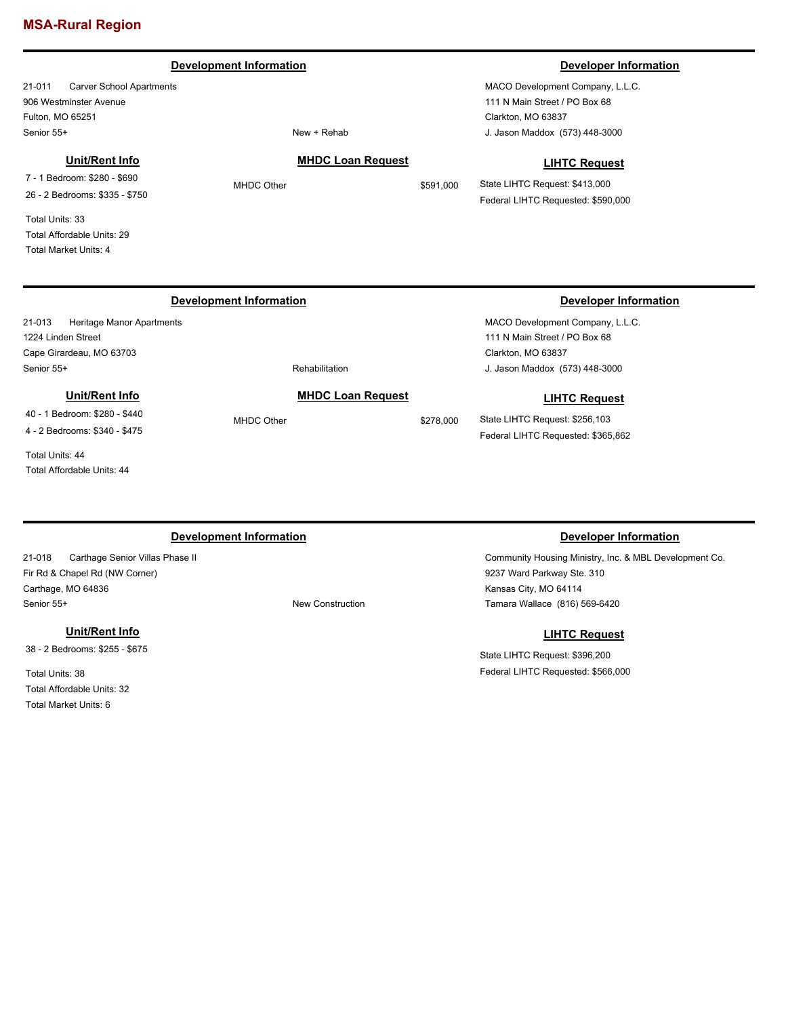### **Development Information Developer Information**

21-011 Carver School Apartments 906 Westminster Avenue Fulton, MO 65251 Senior 55+ New + Rehab

### **Unit/Rent Info**

7 - 1 Bedroom: \$280 - \$690 26 - 2 Bedrooms: \$335 - \$750

Total Units: 33 Total Affordable Units: 29 Total Market Units: 4

MACO Development Company, L.L.C. 111 N Main Street / PO Box 68 Clarkton, MO 63837 J. Jason Maddox (573) 448-3000

### **MHDC Loan Request**

### **LIHTC Request**

State LIHTC Request: \$413,000 Federal LIHTC Requested: \$590,000

MACO Development Company, L.L.C. 111 N Main Street / PO Box 68

J. Jason Maddox (573) 448-3000

State LIHTC Request: \$256,103 Federal LIHTC Requested: \$365,862

**LIHTC Request**

Clarkton, MO 63837

### 21-013 Heritage Manor Apartments

1224 Linden Street Cape Girardeau, MO 63703 Senior 55+ Rehabilitation

#### **Unit/Rent Info**

40 - 1 Bedroom: \$280 - \$440

4 - 2 Bedrooms: \$340 - \$475

Total Units: 44 Total Affordable Units: 44

# **Development Information Developer Information**

21-018 Carthage Senior Villas Phase II Fir Rd & Chapel Rd (NW Corner) Carthage, MO 64836 Senior 55+ New Construction

#### **Unit/Rent Info**

38 - 2 Bedrooms: \$255 - \$675

Total Units: 38 Total Affordable Units: 32 Total Market Units: 6

Community Housing Ministry, Inc. & MBL Development Co. 9237 Ward Parkway Ste. 310 Kansas City, MO 64114 Tamara Wallace (816) 569-6420

### **LIHTC Request**

State LIHTC Request: \$396,200 Federal LIHTC Requested: \$566,000

MHDC Other \$591,000

**MHDC Loan Request** MHDC Other \$278,000

**Development Information Developer Information**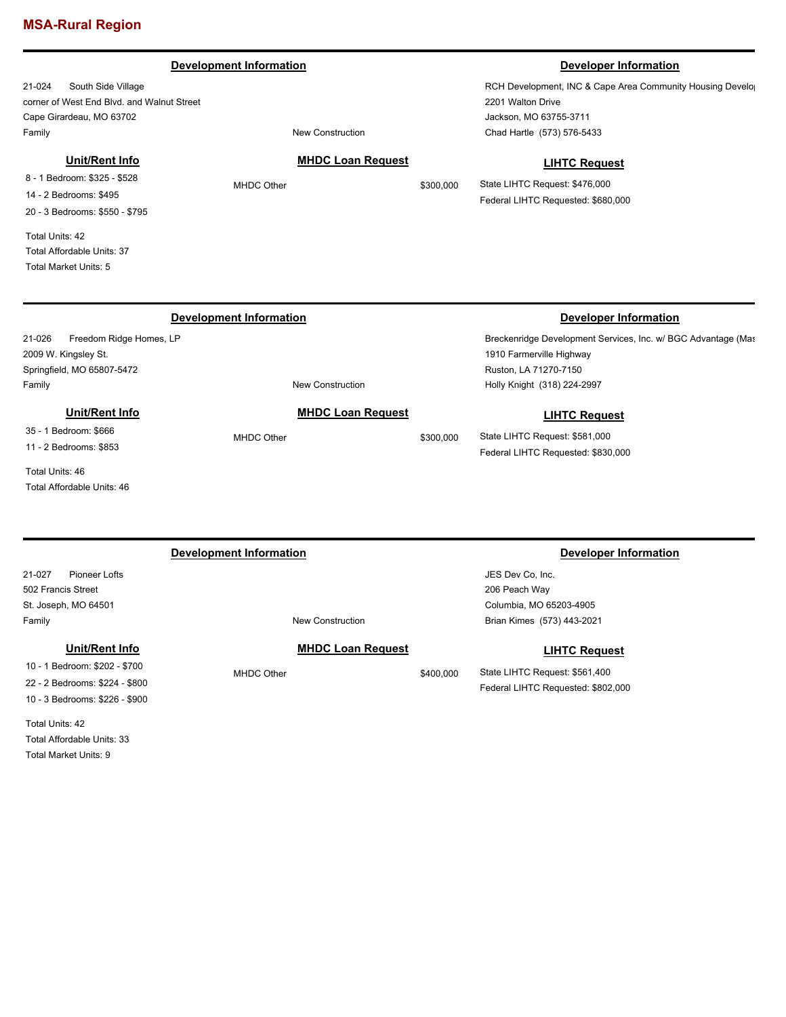#### **Development Information Developer Information**

21-024 South Side Village corner of West End Blvd. and Walnut Street Cape Girardeau, MO 63702 Family **Family Family New Construction** 

### **Unit/Rent Info**

8 - 1 Bedroom: \$325 - \$528 14 - 2 Bedrooms: \$495 20 - 3 Bedrooms: \$550 - \$795

Total Units: 42 Total Affordable Units: 37 Total Market Units: 5

RCH Development, INC & Cape Area Community Housing Develo 2201 Walton Drive Jackson, MO 63755-3711 Chad Hartle (573) 576-5433

### **MHDC Loan Request**

**LIHTC Request**

State LIHTC Request: \$476,000 Federal LIHTC Requested: \$680,000

# **Development Information Developer Information**

21-026 Freedom Ridge Homes, LP 2009 W. Kingsley St. Springfield, MO 65807-5472 Family **Family Family New Construction** 

**MHDC Loan Request** MHDC Other \$300,000

# **Unit/Rent Info**

35 - 1 Bedroom: \$666 11 - 2 Bedrooms: \$853

Total Units: 46 Total Affordable Units: 46

#### 21-027 Pioneer Lofts 502 Francis Street St. Joseph, MO 64501 JES Dev Co, Inc. 206 Peach Way Columbia, MO 65203-4905 Family **Family Family New Construction Development Information Developer Information** Brian Kimes (573) 443-2021 **MHDC Loan Request** MHDC Other \$400,000 **LIHTC Request** State LIHTC Request: \$561,400 **Unit/Rent Info** 10 - 1 Bedroom: \$202 - \$700 22 - 2 Bedrooms: \$224 - \$800

10 - 3 Bedrooms: \$226 - \$900 Total Units: 42

Total Affordable Units: 33 Total Market Units: 9

MHDC Other \$300,000

Breckenridge Development Services, Inc. w/ BGC Advantage (Mas 1910 Farmerville Highway Ruston, LA 71270-7150 Holly Knight (318) 224-2997

#### **LIHTC Request**

State LIHTC Request: \$581,000 Federal LIHTC Requested: \$830,000

Federal LIHTC Requested: \$802,000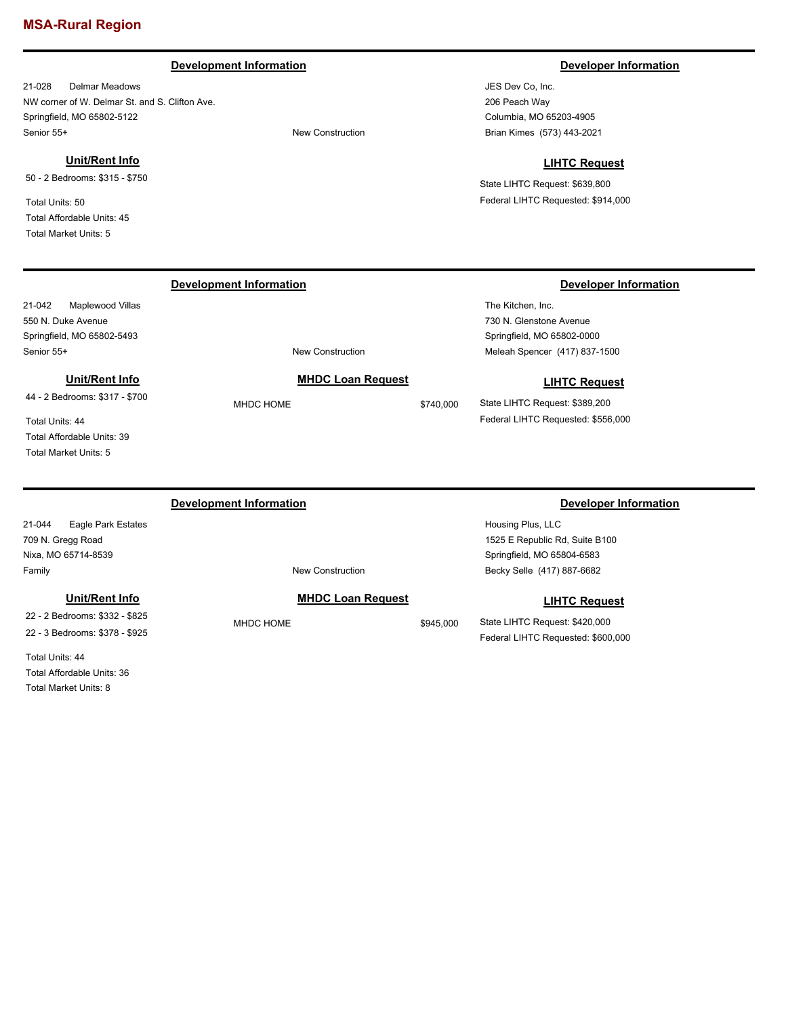### **Development Information Developer Information**

21-028 Delmar Meadows NW corner of W. Delmar St. and S. Clifton Ave. Springfield, MO 65802-5122 Senior 55+ New Construction

### **Unit/Rent Info**

50 - 2 Bedrooms: \$315 - \$750

Total Units: 50 Total Affordable Units: 45 Total Market Units: 5

21-042 Maplewood Villas 550 N. Duke Avenue Springfield, MO 65802-5493

JES Dev Co, Inc. 206 Peach Way Columbia, MO 65203-4905 Brian Kimes (573) 443-2021

#### **LIHTC Request**

State LIHTC Request: \$639,800 Federal LIHTC Requested: \$914,000

### **Development Information Developer Information**

The Kitchen, Inc. 730 N. Glenstone Avenue Springfield, MO 65802-0000 Meleah Spencer (417) 837-1500

### **LIHTC Request**

State LIHTC Request: \$389,200 Federal LIHTC Requested: \$556,000

44 - 2 Bedrooms: \$317 - \$700

**Unit/Rent Info**

Total Units: 44 Total Affordable Units: 39 Total Market Units: 5

**Development Information Developer Information**

21-044 Eagle Park Estates 709 N. Gregg Road Nixa, MO 65714-8539 Family **Family Family New Construction** 

#### **Unit/Rent Info**

22 - 2 Bedrooms: \$332 - \$825 22 - 3 Bedrooms: \$378 - \$925

Total Units: 44 Total Affordable Units: 36 Total Market Units: 8

### **MHDC Loan Request**

MHDC HOME \$945,000

Housing Plus, LLC 1525 E Republic Rd, Suite B100 Springfield, MO 65804-6583 Becky Selle (417) 887-6682

### **LIHTC Request**

State LIHTC Request: \$420,000 Federal LIHTC Requested: \$600,000

MHDC HOME \$740,000

Senior 55+ New Construction

# **MHDC Loan Request**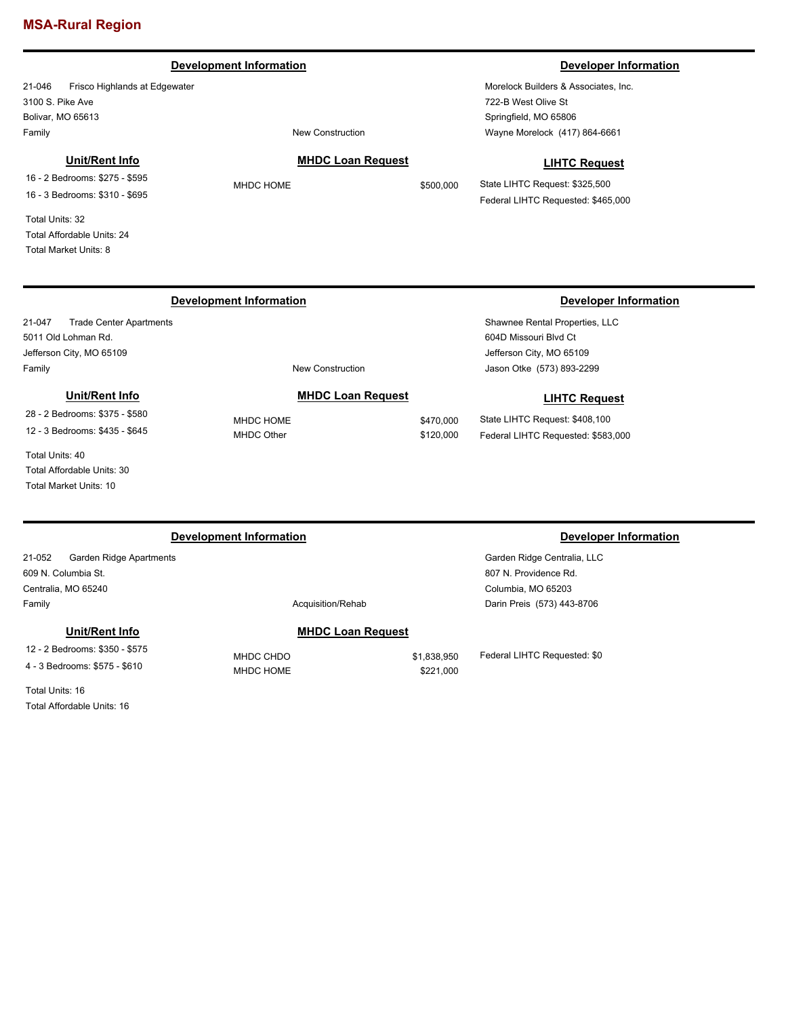#### **Development Information Developer Information**

21-046 Frisco Highlands at Edgewater 3100 S. Pike Ave Bolivar, MO 65613 Family **Family Family New Construction** 

### **Unit/Rent Info**

16 - 2 Bedrooms: \$275 - \$595 16 - 3 Bedrooms: \$310 - \$695

Total Units: 32 Total Affordable Units: 24 Total Market Units: 8

### **MHDC Loan Request**

MHDC HOME \$500,000

Morelock Builders & Associates, Inc. 722-B West Olive St Springfield, MO 65806 Wayne Morelock (417) 864-6661

### **LIHTC Request**

State LIHTC Request: \$325,500 Federal LIHTC Requested: \$465,000

Shawnee Rental Properties, LLC

604D Missouri Blvd Ct Jefferson City, MO 65109

# **Development Information Developer Information**

21-047 Trade Center Apartments 5011 Old Lohman Rd. Jefferson City, MO 65109 Family **Family New Construction** 

# **Unit/Rent Info**

28 - 2 Bedrooms: \$375 - \$580 12 - 3 Bedrooms: \$435 - \$645

Total Units: 40 Total Affordable Units: 30 Total Market Units: 10

# **Development Information Developer Information**

21-052 Garden Ridge Apartments 609 N. Columbia St. Centralia, MO 65240 Family **Family Acquisition/Rehab** 

### **Unit/Rent Info**

12 - 2 Bedrooms: \$350 - \$575 4 - 3 Bedrooms: \$575 - \$610

Total Units: 16 Total Affordable Units: 16

**MHDC Loan Request**

MHDC CHDO \$1,838,950 MHDC HOME \$221,000 Columbia, MO 65203 Darin Preis (573) 443-8706

Federal LIHTC Requested: \$0

**MHDC Loan Request**

MHDC HOME \$470,000 MHDC Other \$120,000

**LIHTC Request** State LIHTC Request: \$408,100

Federal LIHTC Requested: \$583,000

Garden Ridge Centralia, LLC 807 N. Providence Rd.

Jason Otke (573) 893-2299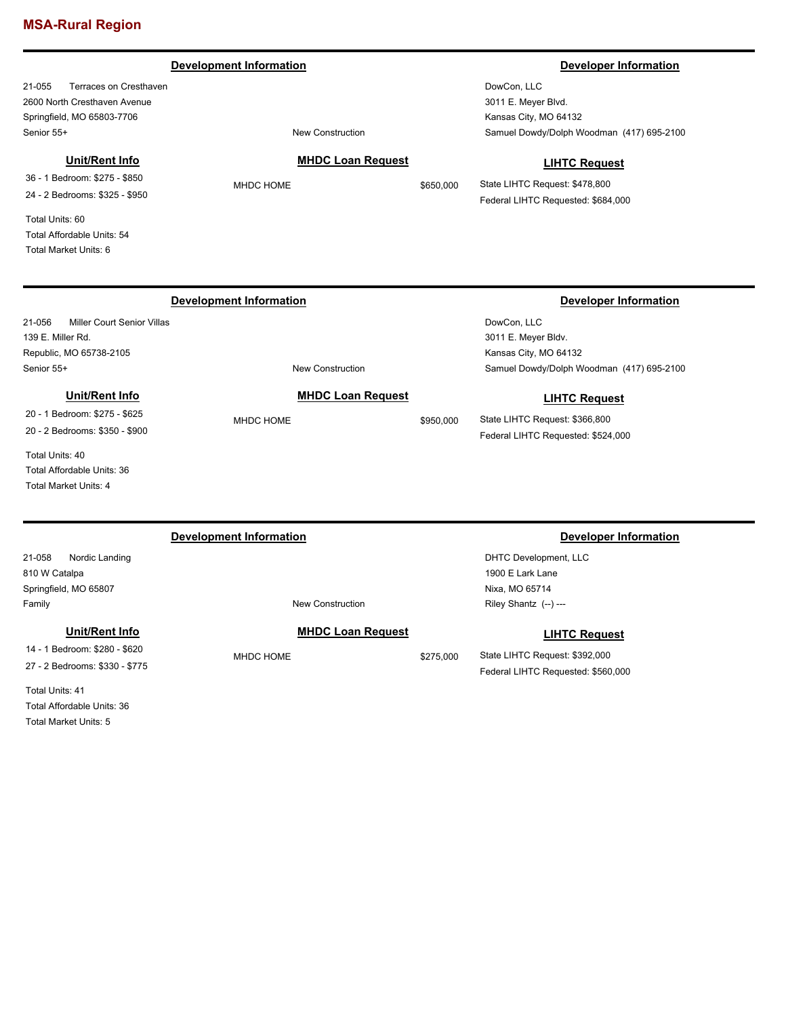### **Development Information Developer Information**

21-055 Terraces on Cresthaven 2600 North Cresthaven Avenue Springfield, MO 65803-7706 Senior 55+ New Construction

#### **Unit/Rent Info**

36 - 1 Bedroom: \$275 - \$850 24 - 2 Bedrooms: \$325 - \$950

Total Units: 60 Total Affordable Units: 54 Total Market Units: 6

# **MHDC Loan Request**

MHDC HOME \$650,000

DowCon, LLC 3011 E. Meyer Blvd. Kansas City, MO 64132 Samuel Dowdy/Dolph Woodman (417) 695-2100

#### **LIHTC Request**

Samuel Dowdy/Dolph Woodman (417) 695-2100

**LIHTC Request**

State LIHTC Request: \$478,800 Federal LIHTC Requested: \$684,000

DowCon, LLC 3011 E. Meyer Bldv. Kansas City, MO 64132

# **Development Information Developer Information**

21-056 Miller Court Senior Villas 139 E. Miller Rd. Republic, MO 65738-2105 Senior 55+ New Construction

**MHDC Loan Request** MHDC HOME \$950,000

### **Unit/Rent Info**

20 - 1 Bedroom: \$275 - \$625 20 - 2 Bedrooms: \$350 - \$900

Total Units: 40 Total Affordable Units: 36 Total Market Units: 4

21-058 Nordic Landing 810 W Catalpa Springfield, MO 65807 Family **Family Family New Construction** 

**Unit/Rent Info**

14 - 1 Bedroom: \$280 - \$620 27 - 2 Bedrooms: \$330 - \$775

Total Units: 41 Total Affordable Units: 36 Total Market Units: 5

### **Development Information Developer Information**

DHTC Development, LLC 1900 E Lark Lane Nixa, MO 65714 Riley Shantz (--) ---

State LIHTC Request: \$366,800 Federal LIHTC Requested: \$524,000

### **LIHTC Request**

State LIHTC Request: \$392,000 Federal LIHTC Requested: \$560,000

### **MHDC Loan Request**

MHDC HOME \$275,000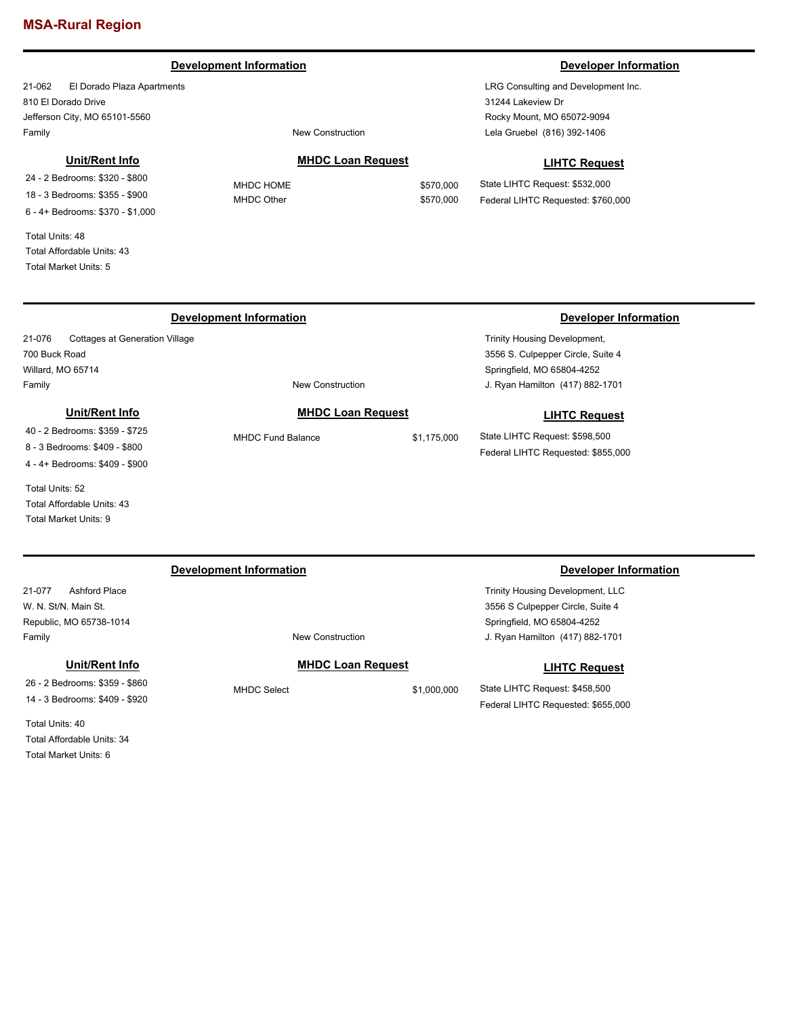### **Development Information Developer Information**

21-062 El Dorado Plaza Apartments 810 El Dorado Drive Jefferson City, MO 65101-5560 Family **Family Family New Construction** 

#### **Unit/Rent Info**

24 - 2 Bedrooms: \$320 - \$800 18 - 3 Bedrooms: \$355 - \$900 6 - 4+ Bedrooms: \$370 - \$1,000

Total Units: 48 Total Affordable Units: 43 Total Market Units: 5

# **MHDC Loan Request**

MHDC HOME \$570,000 MHDC Other \$570,000

**Development Information Developer Information** 

**LIHTC Request** State LIHTC Request: \$532,000

Federal LIHTC Requested: \$760,000

| <b>Cottages at Generation Village</b><br>21-076 |                                |             | <b>Trinity Housing Development,</b>     |  |
|-------------------------------------------------|--------------------------------|-------------|-----------------------------------------|--|
| 700 Buck Road                                   |                                |             | 3556 S. Culpepper Circle, Suite 4       |  |
| Willard, MO 65714                               |                                |             | Springfield, MO 65804-4252              |  |
| Family                                          | <b>New Construction</b>        |             | J. Ryan Hamilton (417) 882-1701         |  |
| Unit/Rent Info                                  | <b>MHDC Loan Request</b>       |             | <b>LIHTC Request</b>                    |  |
| 40 - 2 Bedrooms: \$359 - \$725                  | <b>MHDC Fund Balance</b>       | \$1,175,000 | State LIHTC Request: \$598,500          |  |
| 8 - 3 Bedrooms: \$409 - \$800                   |                                |             | Federal LIHTC Requested: \$855,000      |  |
| 4 - 4+ Bedrooms: \$409 - \$900                  |                                |             |                                         |  |
| Total Units: 52                                 |                                |             |                                         |  |
| Total Affordable Units: 43                      |                                |             |                                         |  |
| <b>Total Market Units: 9</b>                    |                                |             |                                         |  |
|                                                 | <b>Development Information</b> |             | <b>Developer Information</b>            |  |
| 21-077<br><b>Ashford Place</b>                  |                                |             | <b>Trinity Housing Development, LLC</b> |  |
| W. N. St/N. Main St.                            |                                |             | 3556 S Culpepper Circle, Suite 4        |  |
| Republic, MO 65738-1014                         |                                |             | Springfield, MO 65804-4252              |  |
| Family                                          | <b>New Construction</b>        |             | J. Ryan Hamilton (417) 882-1701         |  |
| Unit/Rent Info                                  | <b>MHDC Loan Request</b>       |             | <b>LIHTC Request</b>                    |  |
|                                                 |                                |             |                                         |  |

26 - 2 Bedrooms: \$359 - \$860 14 - 3 Bedrooms: \$409 - \$920

Total Units: 40 Total Affordable Units: 34 Total Market Units: 6

MHDC Select \$1,000,000

State LIHTC Request: \$458,500 Federal LIHTC Requested: \$655,000

LRG Consulting and Development Inc. 31244 Lakeview Dr

Rocky Mount, MO 65072-9094 Lela Gruebel (816) 392-1406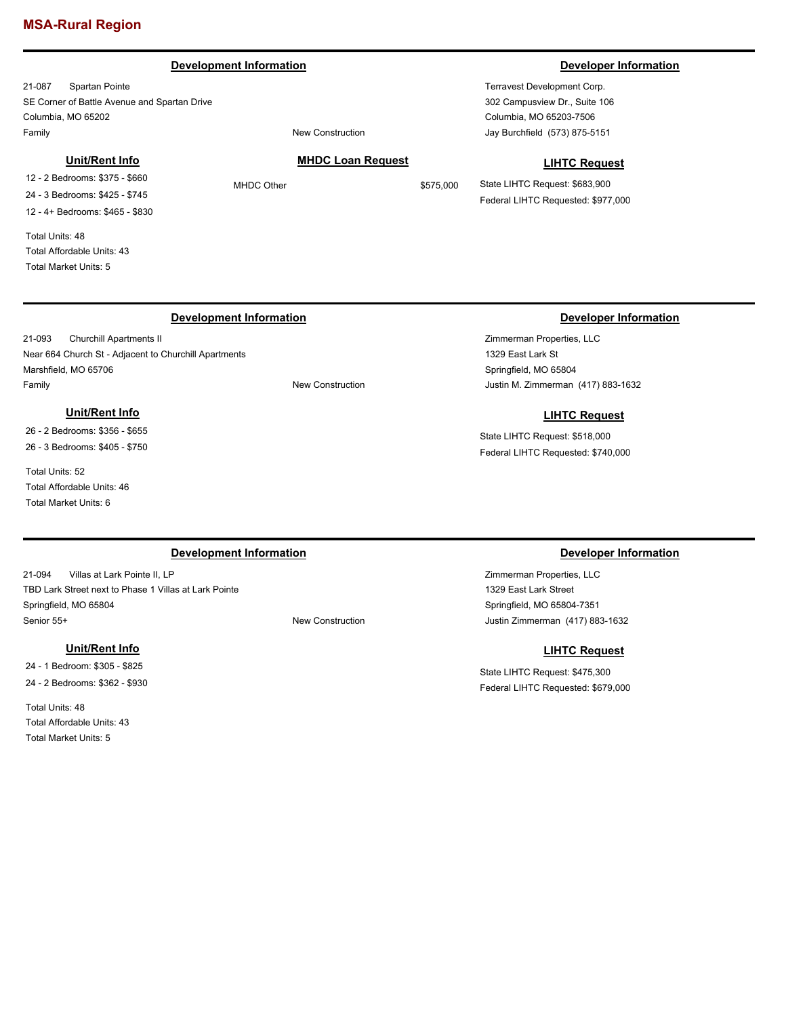#### **Development Information Developer Information**

21-087 Spartan Pointe SE Corner of Battle Avenue and Spartan Drive Columbia, MO 65202 Family **Family Family New Construction** 

12 - 2 Bedrooms: \$375 - \$660 24 - 3 Bedrooms: \$425 - \$745 12 - 4+ Bedrooms: \$465 - \$830

Total Units: 48 Total Affordable Units: 43 Total Market Units: 5

**MHDC Loan Request**

Terravest Development Corp. 302 Campusview Dr., Suite 106 Columbia, MO 65203-7506 Jay Burchfield (573) 875-5151

#### **LIHTC Request**

State LIHTC Request: \$683,900 Federal LIHTC Requested: \$977,000

Zimmerman Properties, LLC 1329 East Lark St Springfield, MO 65804

State LIHTC Request: \$518,000 Federal LIHTC Requested: \$740,000

Justin M. Zimmerman (417) 883-1632

**LIHTC Request**

### **Development Information Developer Information**

21-093 Churchill Apartments II Near 664 Church St - Adjacent to Churchill Apartments Marshfield, MO 65706 Family **Family Family New Construction** 

#### **Unit/Rent Info**

26 - 2 Bedrooms: \$356 - \$655 26 - 3 Bedrooms: \$405 - \$750

Total Units: 52 Total Affordable Units: 46 Total Market Units: 6

### **Development Information Developer Information**

21-094 Villas at Lark Pointe II, LP TBD Lark Street next to Phase 1 Villas at Lark Pointe Springfield, MO 65804 Senior 55+ New Construction

#### **Unit/Rent Info**

24 - 1 Bedroom: \$305 - \$825 24 - 2 Bedrooms: \$362 - \$930

Total Units: 48 Total Affordable Units: 43 Total Market Units: 5

Zimmerman Properties, LLC 1329 East Lark Street Springfield, MO 65804-7351 Justin Zimmerman (417) 883-1632

#### **LIHTC Request**

State LIHTC Request: \$475,300 Federal LIHTC Requested: \$679,000

# MHDC Other \$575,000

# **Unit/Rent Info**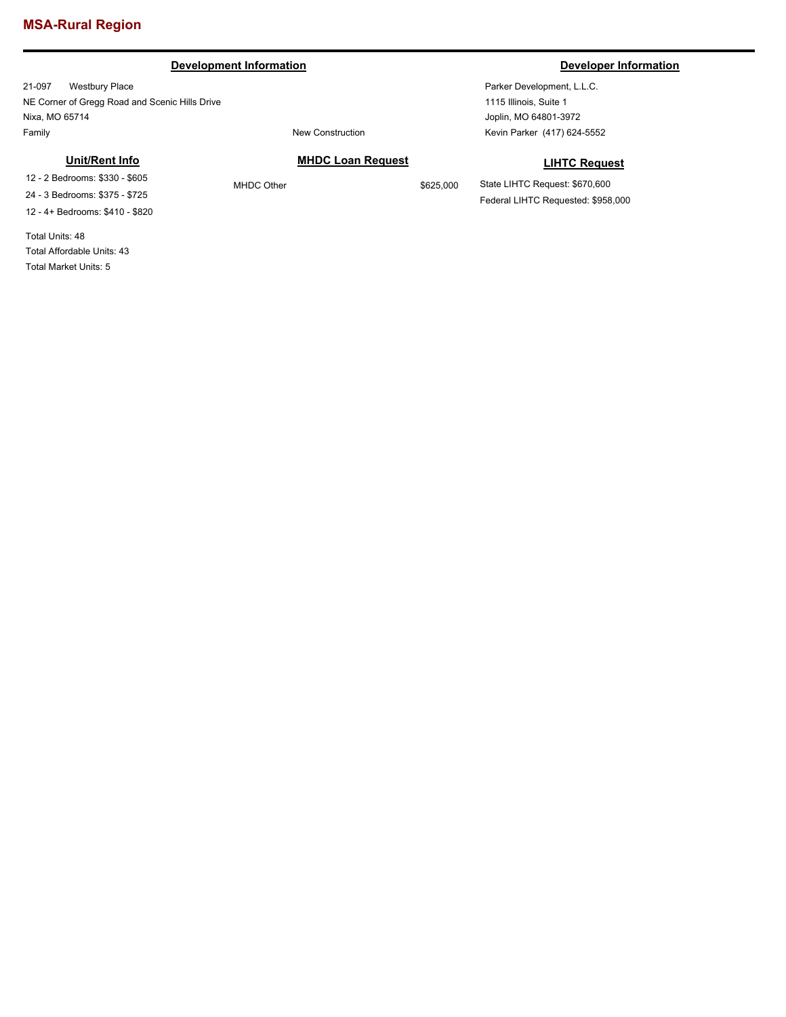### **Development Information Developer Information**

21-097 Westbury Place NE Corner of Gregg Road and Scenic Hills Drive Nixa, MO 65714 Family **Family Example 2018 New Construction** 

#### **Unit/Rent Info**

12 - 2 Bedrooms: \$330 - \$605 24 - 3 Bedrooms: \$375 - \$725 12 - 4+ Bedrooms: \$410 - \$820

Total Units: 48 Total Affordable Units: 43 Total Market Units: 5

Parker Development, L.L.C. 1115 Illinois, Suite 1 Joplin, MO 64801-3972 Kevin Parker (417) 624-5552

### **LIHTC Request**

State LIHTC Request: \$670,600 Federal LIHTC Requested: \$958,000

# **MHDC Loan Request**

MHDC Other \$625,000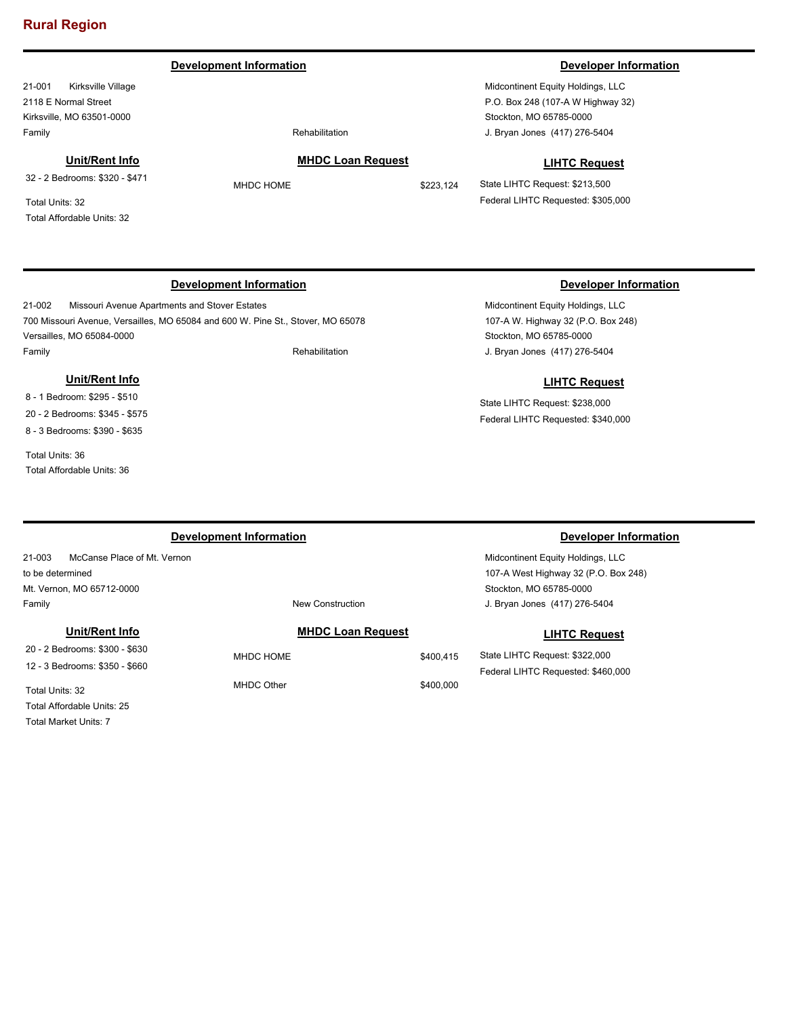#### **Development Information Developer Information**

21-001 Kirksville Village 2118 E Normal Street Kirksville, MO 63501-0000 Family **Family Rehabilitation** 

### **Unit/Rent Info**

32 - 2 Bedrooms: \$320 - \$471

Total Units: 32 Total Affordable Units: 32

### **MHDC Loan Request**

MHDC HOME \$223,124

Midcontinent Equity Holdings, LLC P.O. Box 248 (107-A W Highway 32) Stockton, MO 65785-0000 J. Bryan Jones (417) 276-5404

#### **LIHTC Request**

State LIHTC Request: \$213,500 Federal LIHTC Requested: \$305,000

### **Development Information Developer Information**

21-002 Missouri Avenue Apartments and Stover Estates 700 Missouri Avenue, Versailles, MO 65084 and 600 W. Pine St., Stover, MO 65078 Versailles, MO 65084-0000 Family **Family Example 2018 Rehabilitation** 

# **Unit/Rent Info**

8 - 1 Bedroom: \$295 - \$510 20 - 2 Bedrooms: \$345 - \$575 8 - 3 Bedrooms: \$390 - \$635

Total Units: 36 Total Affordable Units: 36

Midcontinent Equity Holdings, LLC 107-A W. Highway 32 (P.O. Box 248) Stockton, MO 65785-0000 J. Bryan Jones (417) 276-5404

### **LIHTC Request**

State LIHTC Request: \$238,000 Federal LIHTC Requested: \$340,000

### **Development Information Developer Information**

Midcontinent Equity Holdings, LLC 107-A West Highway 32 (P.O. Box 248) Stockton, MO 65785-0000 J. Bryan Jones (417) 276-5404

#### **LIHTC Request**

State LIHTC Request: \$322,000 Federal LIHTC Requested: \$460,000

21-003 McCanse Place of Mt. Vernon to be determined Mt. Vernon, MO 65712-0000 Family **Family Family New Construction** 

**Unit/Rent Info** 20 - 2 Bedrooms: \$300 - \$630

12 - 3 Bedrooms: \$350 - \$660

Total Units: 32 Total Affordable Units: 25 Total Market Units: 7

### **MHDC Loan Request**

MHDC HOME \$400,415

MHDC Other \$400,000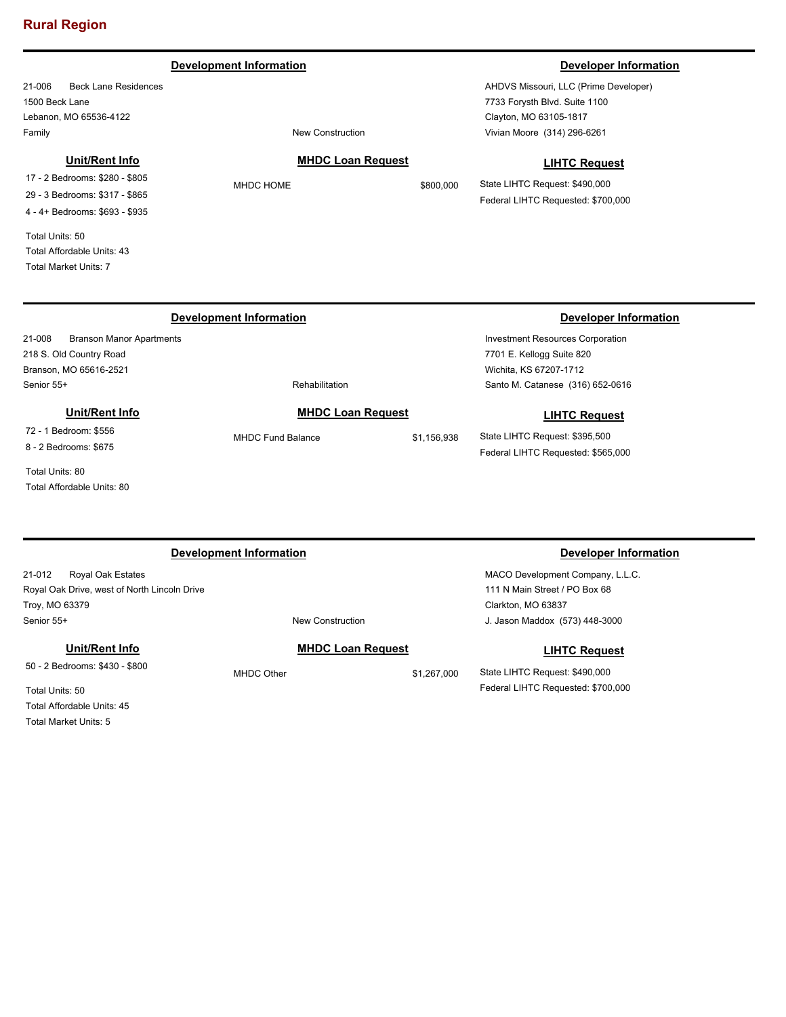### **Development Information Developer Information**

21-006 Beck Lane Residences 1500 Beck Lane Lebanon, MO 65536-4122 Family **Family Family New Construction** 

#### **Unit/Rent Info**

17 - 2 Bedrooms: \$280 - \$805 29 - 3 Bedrooms: \$317 - \$865 4 - 4+ Bedrooms: \$693 - \$935

Total Units: 50 Total Affordable Units: 43 Total Market Units: 7

# **MHDC Loan Request**

MHDC HOME \$800,000

AHDVS Missouri, LLC (Prime Developer) 7733 Forysth Blvd. Suite 1100

Clayton, MO 63105-1817 Vivian Moore (314) 296-6261

### **LIHTC Request**

State LIHTC Request: \$490,000 Federal LIHTC Requested: \$700,000

Federal LIHTC Requested: \$565,000

| <b>Development Information</b>            |                          | Developer Information |                                  |
|-------------------------------------------|--------------------------|-----------------------|----------------------------------|
| 21-008<br><b>Branson Manor Apartments</b> |                          |                       | Investment Resources Corporation |
| 218 S. Old Country Road                   |                          |                       | 7701 E. Kellogg Suite 820        |
| Branson, MO 65616-2521                    |                          |                       | Wichita, KS 67207-1712           |
| Senior 55+                                | Rehabilitation           |                       | Santo M. Catanese (316) 652-0616 |
| Unit/Rent Info                            | <b>MHDC Loan Request</b> |                       | <b>LIHTC Request</b>             |
| 72 - 1 Bedroom: \$556                     | <b>MHDC Fund Balance</b> | \$1,156,938           | State LIHTC Request: \$395,500   |

8 - 2 Bedrooms: \$675 Total Units: 80

Total Affordable Units: 80

| <b>Development Information</b>               |            |                          | Developer Information              |  |
|----------------------------------------------|------------|--------------------------|------------------------------------|--|
| 21-012<br><b>Roval Oak Estates</b>           |            |                          | MACO Development Company, L.L.C.   |  |
| Royal Oak Drive, west of North Lincoln Drive |            |                          | 111 N Main Street / PO Box 68      |  |
| Troy, MO 63379                               |            |                          | Clarkton, MO 63837                 |  |
| Senior 55+                                   |            | New Construction         | J. Jason Maddox (573) 448-3000     |  |
| Unit/Rent Info                               |            | <b>MHDC Loan Request</b> | <b>LIHTC Request</b>               |  |
| 50 - 2 Bedrooms: \$430 - \$800               | MHDC Other | \$1.267.000              | State LIHTC Request: \$490,000     |  |
| Total Units: 50                              |            |                          | Federal LIHTC Requested: \$700,000 |  |
| Total Affordable Units: 45                   |            |                          |                                    |  |

Total Affordable Units: 45 Total Market Units: 5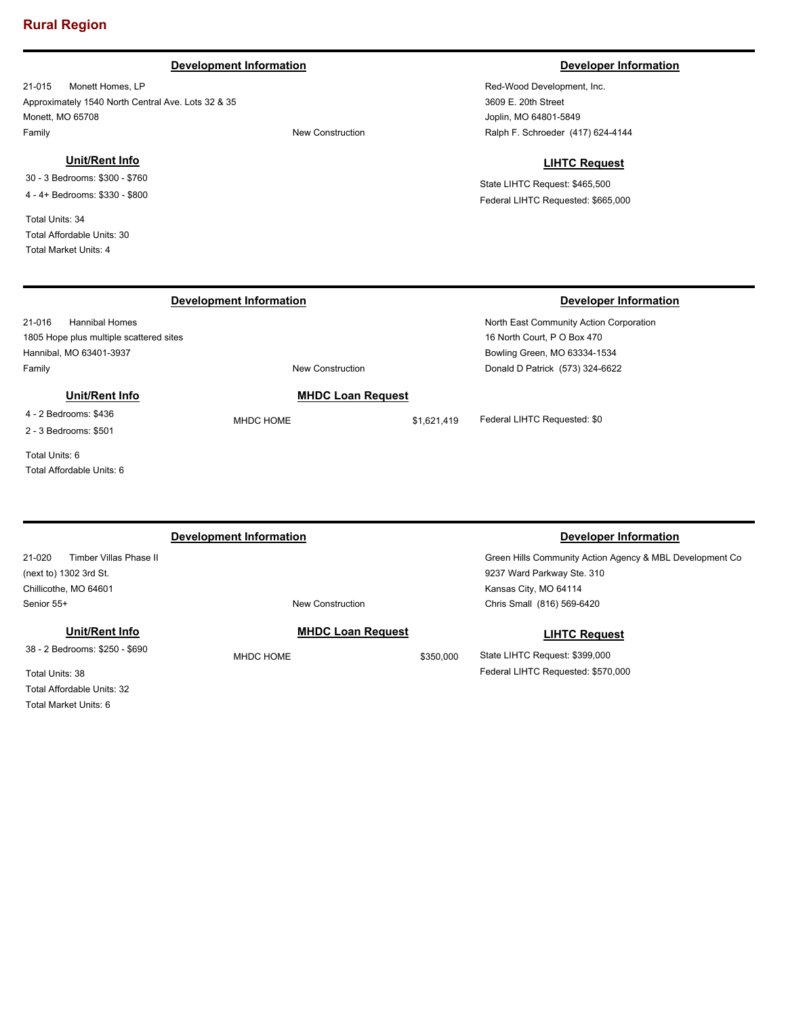### **Development Information Developer Information**

21-015 Monett Homes, LP Approximately 1540 North Central Ave. Lots 32 & 35 Monett, MO 65708 Family **Family Family New Construction** 

### **Unit/Rent Info**

30 - 3 Bedrooms: \$300 - \$760 4 - 4+ Bedrooms: \$330 - \$800

Total Units: 34 Total Affordable Units: 30 Total Market Units: 4

21-016 Hannibal Homes

Hannibal, MO 63401-3937

1805 Hope plus multiple scattered sites

**Unit/Rent Info**

Red-Wood Development, Inc. 3609 E. 20th Street Joplin, MO 64801-5849 Ralph F. Schroeder (417) 624-4144

### **LIHTC Request**

State LIHTC Request: \$465,500 Federal LIHTC Requested: \$665,000

North East Community Action Corporation 16 North Court, P O Box 470 Bowling Green, MO 63334-1534 Donald D Patrick (573) 324-6622

MHDC HOME  $$1,621,419$  Federal LIHTC Requested: \$0

4 - 2 Bedrooms: \$436 2 - 3 Bedrooms: \$501

Total Units: 6 Total Affordable Units: 6

#### 21-020 Timber Villas Phase II (next to) 1302 3rd St. Chillicothe, MO 64601 Green Hills Community Action Agency & MBL Development Co 9237 Ward Parkway Ste. 310 Kansas City, MO 64114 Senior 55+ New Construction **Development Information Developer Information** Chris Small (816) 569-6420 **MHDC Loan Request** MHDC HOME \$350,000 **LIHTC Request** State LIHTC Request: \$399,000 **Unit/Rent Info** 38 - 2 Bedrooms: \$250 - \$690

Total Units: 38 Total Affordable Units: 32 Total Market Units: 6

Federal LIHTC Requested: \$570,000

# Family **Family Example 2018 New Construction**

**MHDC Loan Request**

# **Development Information Developer Information**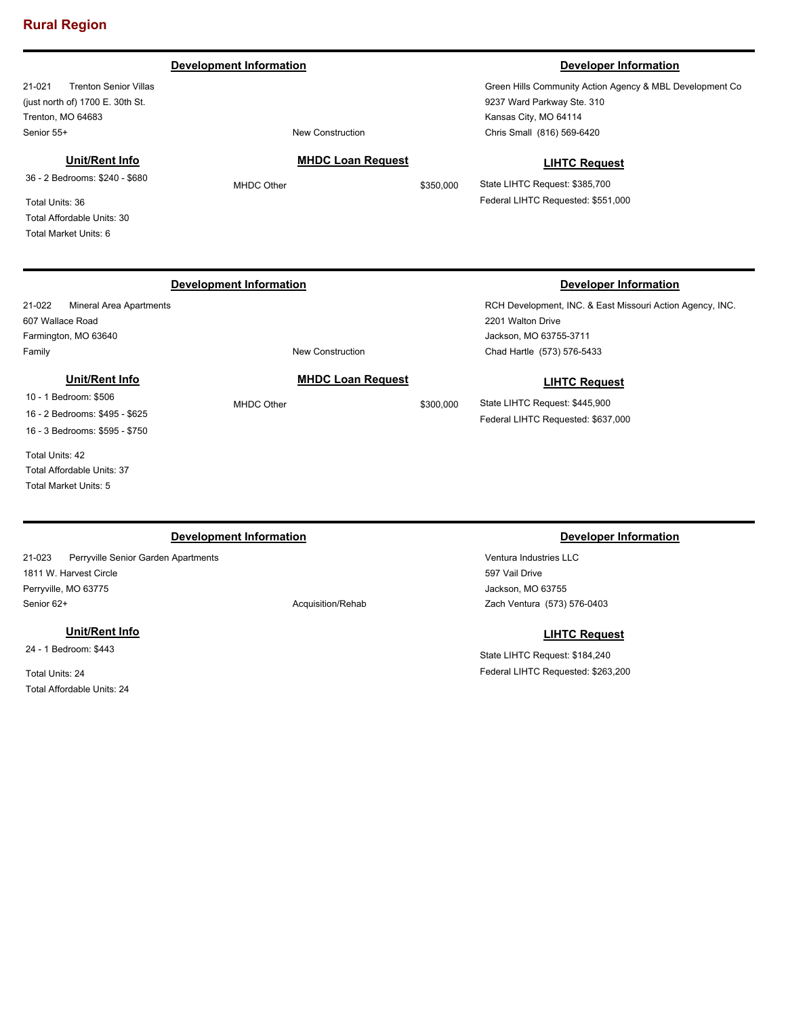#### 21-021 Trenton Senior Villas (just north of) 1700 E. 30th St. Trenton, MO 64683 Green Hills Community Action Agency & MBL Development Co 9237 Ward Parkway Ste. 310 Kansas City, MO 64114 Senior 55+ New Construction **Development Information Developer Information** Chris Small (816) 569-6420 **MHDC Loan Request** MHDC Other \$350,000 **LIHTC Request** State LIHTC Request: \$385,700 Federal LIHTC Requested: \$551,000 **Unit/Rent Info** 36 - 2 Bedrooms: \$240 - \$680 Total Units: 36 Total Affordable Units: 30 Total Market Units: 6 21-022 Mineral Area Apartments 607 Wallace Road Farmington, MO 63640 RCH Development, INC. & East Missouri Action Agency, INC. 2201 Walton Drive Jackson, MO 63755-3711 Family **Family Example 2018 New Construction Development Information Developer Information** Chad Hartle (573) 576-5433 **MHDC Loan Request** MHDC Other \$300,000 **LIHTC Request** State LIHTC Request: \$445,900 Federal LIHTC Requested: \$637,000 **Unit/Rent Info** 10 - 1 Bedroom: \$506 16 - 2 Bedrooms: \$495 - \$625 16 - 3 Bedrooms: \$595 - \$750 Total Units: 42

### **Development Information Developer Information**

21-023 Perryville Senior Garden Apartments 1811 W. Harvest Circle Perryville, MO 63775 Senior 62+ Acquisition/Rehabition Acquisition Acquisition Acquisition Acquisition Acquisition Acquisition Acquisition Acquisition Acquisition Acquisition Acquisition Acquisition Acquisition Acquisition Acquisition Acquisit

#### **Unit/Rent Info**

24 - 1 Bedroom: \$443

Total Affordable Units: 37 Total Market Units: 5

Total Units: 24 Total Affordable Units: 24

Ventura Industries LLC 597 Vail Drive Jackson, MO 63755 Zach Ventura (573) 576-0403

### **LIHTC Request**

State LIHTC Request: \$184,240 Federal LIHTC Requested: \$263,200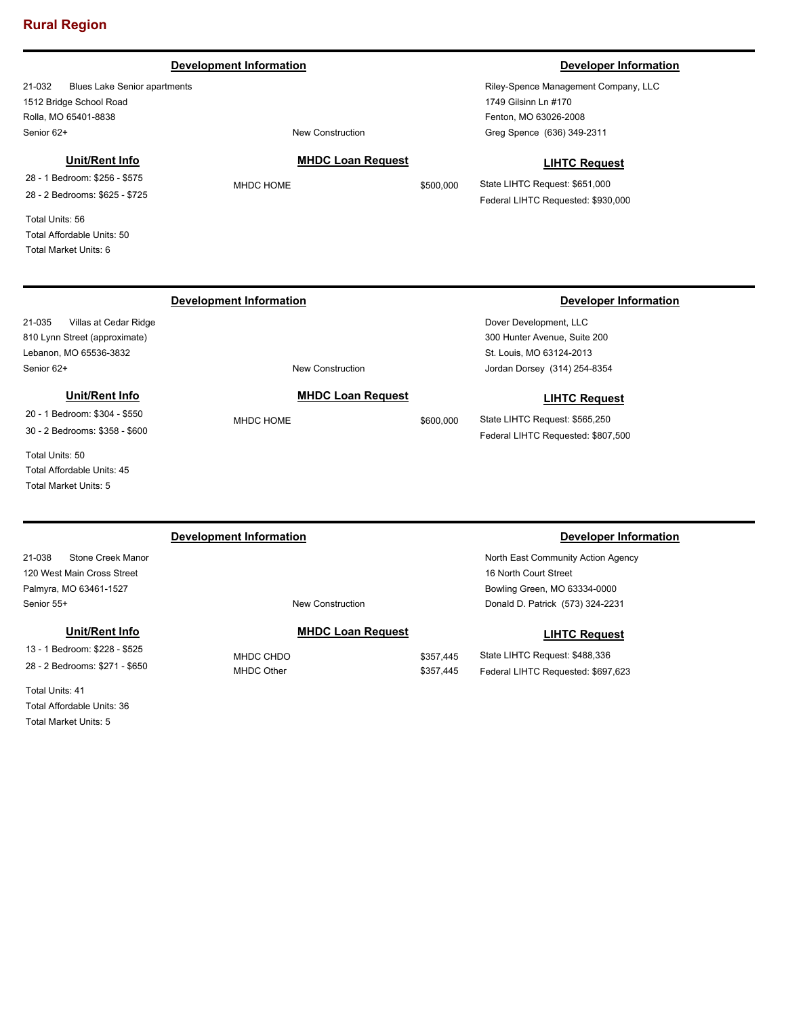### **Development Information Developer Information**

21-032 Blues Lake Senior apartments 1512 Bridge School Road Rolla, MO 65401-8838 Senior 62+ New Construction

### **Unit/Rent Info**

28 - 1 Bedroom: \$256 - \$575 28 - 2 Bedrooms: \$625 - \$725

Total Units: 56 Total Affordable Units: 50 Total Market Units: 6

### **MHDC Loan Request**

Riley-Spence Management Company, LLC 1749 Gilsinn Ln #170 Fenton, MO 63026-2008 Greg Spence (636) 349-2311

#### **LIHTC Request**

State LIHTC Request: \$651,000 Federal LIHTC Requested: \$930,000

Dover Development, LLC 300 Hunter Avenue, Suite 200 St. Louis, MO 63124-2013

Jordan Dorsey (314) 254-8354

State LIHTC Request: \$565,250 Federal LIHTC Requested: \$807,500

**LIHTC Request**

# **Development Information Developer Information**

21-035 Villas at Cedar Ridge 810 Lynn Street (approximate) Lebanon, MO 65536-3832 Senior 62+ New Construction

### **Unit/Rent Info**

20 - 1 Bedroom: \$304 - \$550 30 - 2 Bedrooms: \$358 - \$600

Total Units: 50

Total Affordable Units: 45 Total Market Units: 5

### **Development Information Developer Information**

North East Community Action Agency 16 North Court Street Bowling Green, MO 63334-0000 Donald D. Patrick (573) 324-2231

### **LIHTC Request**

State LIHTC Request: \$488,336 Federal LIHTC Requested: \$697,623

21-038 Stone Creek Manor 120 West Main Cross Street Palmyra, MO 63461-1527 Senior 55+ New Construction

**Unit/Rent Info**

13 - 1 Bedroom: \$228 - \$525 28 - 2 Bedrooms: \$271 - \$650

Total Units: 41 Total Affordable Units: 36 Total Market Units: 5

### **MHDC Loan Request**

MHDC CHDO \$357,445 MHDC Other \$357,445

MHDC HOME \$500,000

**MHDC Loan Request** MHDC HOME \$600,000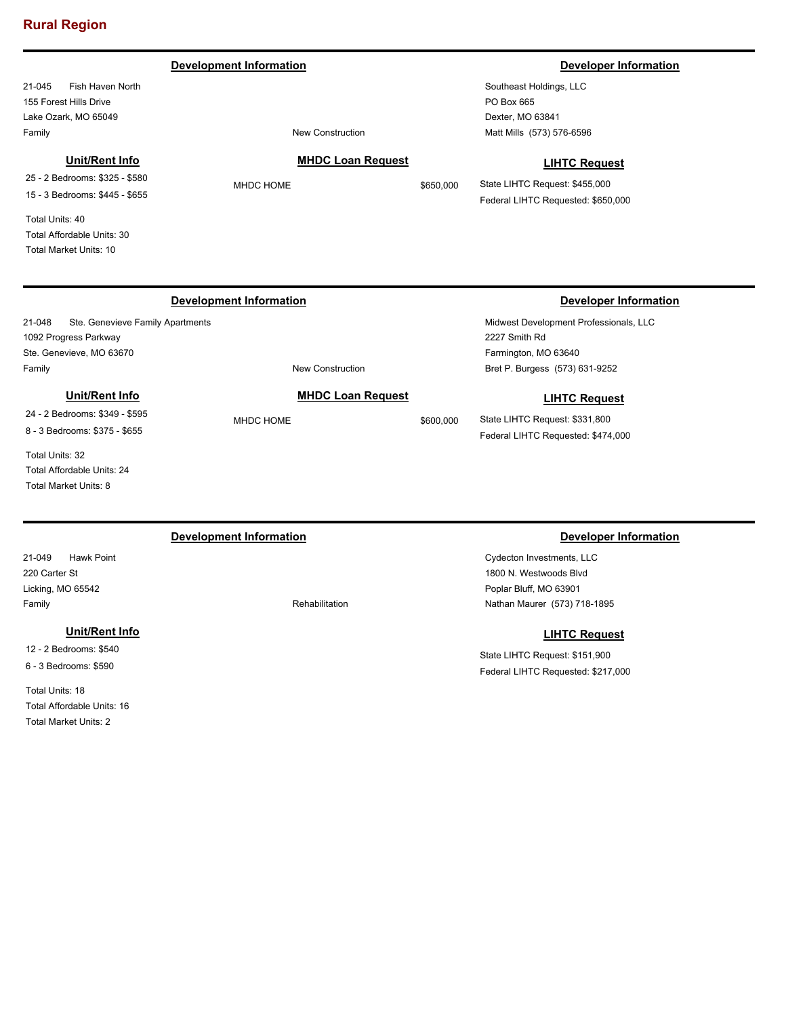#### **Development Information Developer Information**

21-045 Fish Haven North 155 Forest Hills Drive Lake Ozark, MO 65049 Family **Family Family New Construction** 

### **Unit/Rent Info**

21-048 Ste. Genevieve Family Apartments

**Unit/Rent Info** 24 - 2 Bedrooms: \$349 - \$595 8 - 3 Bedrooms: \$375 - \$655

25 - 2 Bedrooms: \$325 - \$580 15 - 3 Bedrooms: \$445 - \$655

Total Units: 40 Total Affordable Units: 30 Total Market Units: 10

1092 Progress Parkway Ste. Genevieve, MO 63670

Southeast Holdings, LLC PO Box 665 Dexter, MO 63841 Matt Mills (573) 576-6596

Family **Family New Construction** 

MHDC HOME \$650,000

**MHDC Loan Request**

**MHDC Loan Request** MHDC HOME \$600,000

# **LIHTC Request**

State LIHTC Request: \$455,000 Federal LIHTC Requested: \$650,000

### **Development Information Developer Information**

Midwest Development Professionals, LLC 2227 Smith Rd Farmington, MO 63640 Bret P. Burgess (573) 631-9252

#### **LIHTC Request**

State LIHTC Request: \$331,800 Federal LIHTC Requested: \$474,000

Total Units: 32 Total Affordable Units: 24 Total Market Units: 8

# **Development Information Developer Information**

21-049 Hawk Point 220 Carter St Licking, MO 65542 Family **Family Family Rehabilitation** 

### **Unit/Rent Info**

12 - 2 Bedrooms: \$540 6 - 3 Bedrooms: \$590

Total Units: 18 Total Affordable Units: 16 Total Market Units: 2

Cydecton Investments, LLC 1800 N. Westwoods Blvd Poplar Bluff, MO 63901 Nathan Maurer (573) 718-1895

#### **LIHTC Request**

State LIHTC Request: \$151,900 Federal LIHTC Requested: \$217,000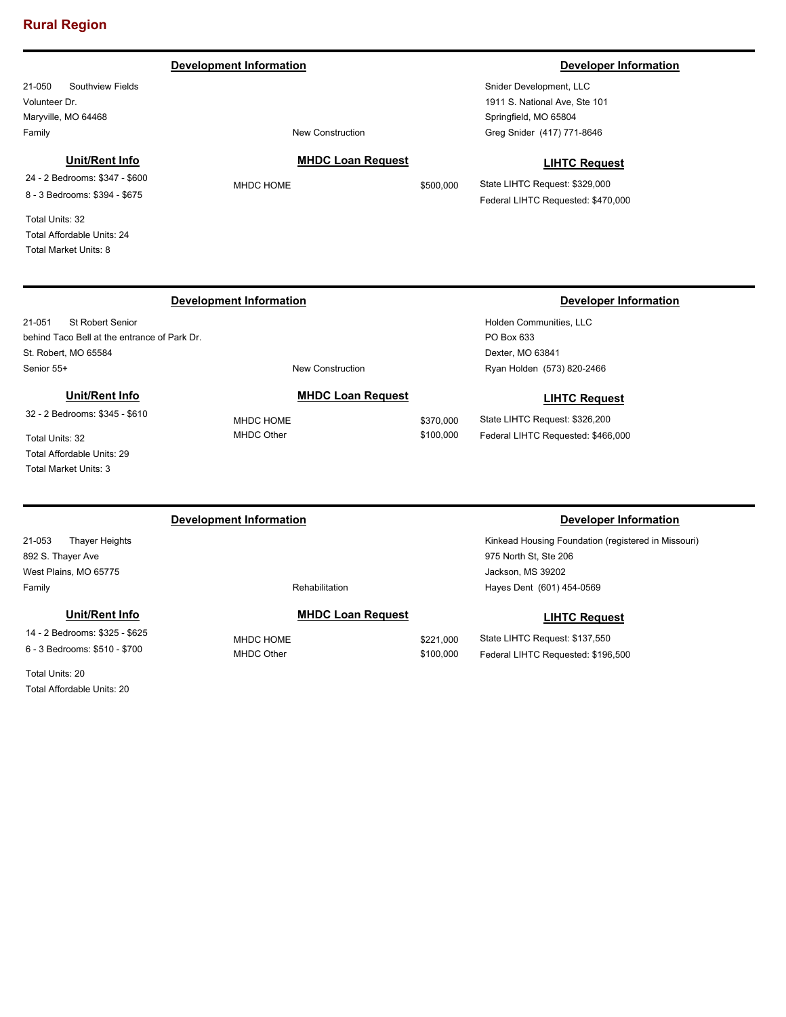#### **Development Information Developer Information**

21-050 Southview Fields Volunteer Dr. Maryville, MO 64468 Family **Family Family New Construction** 

#### **Unit/Rent Info**

24 - 2 Bedrooms: \$347 - \$600 8 - 3 Bedrooms: \$394 - \$675

Total Units: 32 Total Affordable Units: 24 Total Market Units: 8

# **MHDC Loan Request**

MHDC HOME \$500,000

Snider Development, LLC 1911 S. National Ave, Ste 101 Springfield, MO 65804 Greg Snider (417) 771-8646

#### **LIHTC Request**

State LIHTC Request: \$329,000 Federal LIHTC Requested: \$470,000

# **Development Information Developer Information**

21-051 St Robert Senior behind Taco Bell at the entrance of Park Dr. St. Robert, MO 65584 Senior 55+ New Construction

**MHDC Loan Request**

### **Unit/Rent Info**

32 - 2 Bedrooms: \$345 - \$610

Total Units: 32 Total Affordable Units: 29 Total Market Units: 3

MHDC HOME \$370,000 MHDC Other \$100,000

Holden Communities, LLC PO Box 633 Dexter, MO 63841 Ryan Holden (573) 820-2466

#### **LIHTC Request**

State LIHTC Request: \$326,200 Federal LIHTC Requested: \$466,000

#### **Development Information Developer Information**

21-053 Thayer Heights 892 S. Thayer Ave West Plains, MO 65775 Family Rehabilitation

### **Unit/Rent Info**

14 - 2 Bedrooms: \$325 - \$625 6 - 3 Bedrooms: \$510 - \$700

Total Units: 20 Total Affordable Units: 20

## **MHDC Loan Request**

MHDC HOME \$221,000 MHDC Other \$100,000

Kinkead Housing Foundation (registered in Missouri) 975 North St, Ste 206 Jackson, MS 39202 Hayes Dent (601) 454-0569

### **LIHTC Request**

State LIHTC Request: \$137,550 Federal LIHTC Requested: \$196,500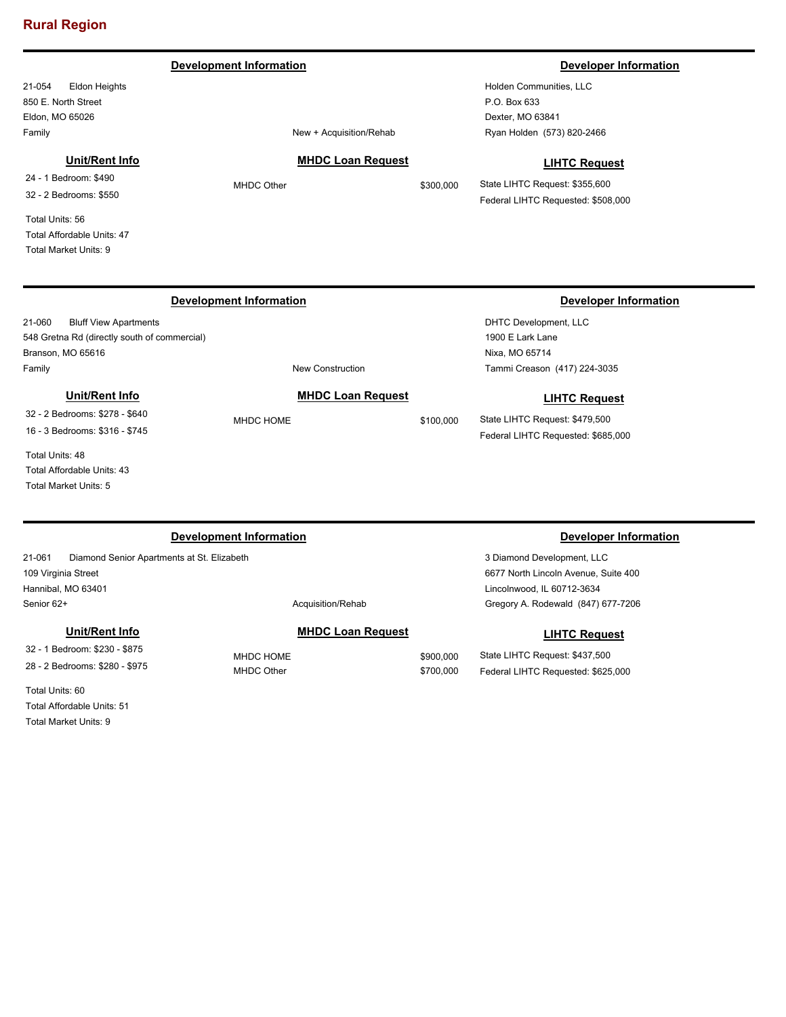#### **Development Information Developer Information**

21-054 Eldon Heights 850 E. North Street Eldon, MO 65026 Family **Family Family Example 2018 New + Acquisition/Rehab** 

### **Unit/Rent Info**

24 - 1 Bedroom: \$490 32 - 2 Bedrooms: \$550

Total Units: 56 Total Affordable Units: 47 Total Market Units: 9

Holden Communities, LLC P.O. Box 633 Dexter, MO 63841 Ryan Holden (573) 820-2466

### **MHDC Loan Request**

MHDC Other \$300,000

# **LIHTC Request**

State LIHTC Request: \$355,600 Federal LIHTC Requested: \$508,000

DHTC Development, LLC 1900 E Lark Lane Nixa, MO 65714

Tammi Creason (417) 224-3035

State LIHTC Request: \$479,500 Federal LIHTC Requested: \$685,000

**LIHTC Request**

# **Development Information Developer Information**

21-060 Bluff View Apartments 548 Gretna Rd (directly south of commercial) Branson, MO 65616 Family **Family New Construction** 

### **Unit/Rent Info**

32 - 2 Bedrooms: \$278 - \$640 16 - 3 Bedrooms: \$316 - \$745

Total Units: 48 Total Affordable Units: 43 Total Market Units: 5

21-061 Diamond Senior Apartments at St. Elizabeth 109 Virginia Street Hannibal, MO 63401 Senior 62+ Acquisition/Rehabition Acquisition Acquisition Acquisition Acquisition Acquisition Acquisition Acquisition Acquisition Acquisition Acquisition Acquisition Acquisition Acquisition Acquisition Acquisition Acquisit

#### **Unit/Rent Info**

32 - 1 Bedroom: \$230 - \$875 28 - 2 Bedrooms: \$280 - \$975

Total Units: 60 Total Affordable Units: 51 Total Market Units: 9

**MHDC Loan Request** MHDC HOME \$100,000

**MHDC Loan Request**

MHDC HOME \$900,000 MHDC Other \$700,000

### **Development Information Developer Information**

3 Diamond Development, LLC 6677 North Lincoln Avenue, Suite 400 Lincolnwood, IL 60712-3634 Gregory A. Rodewald (847) 677-7206

#### **LIHTC Request**

State LIHTC Request: \$437,500 Federal LIHTC Requested: \$625,000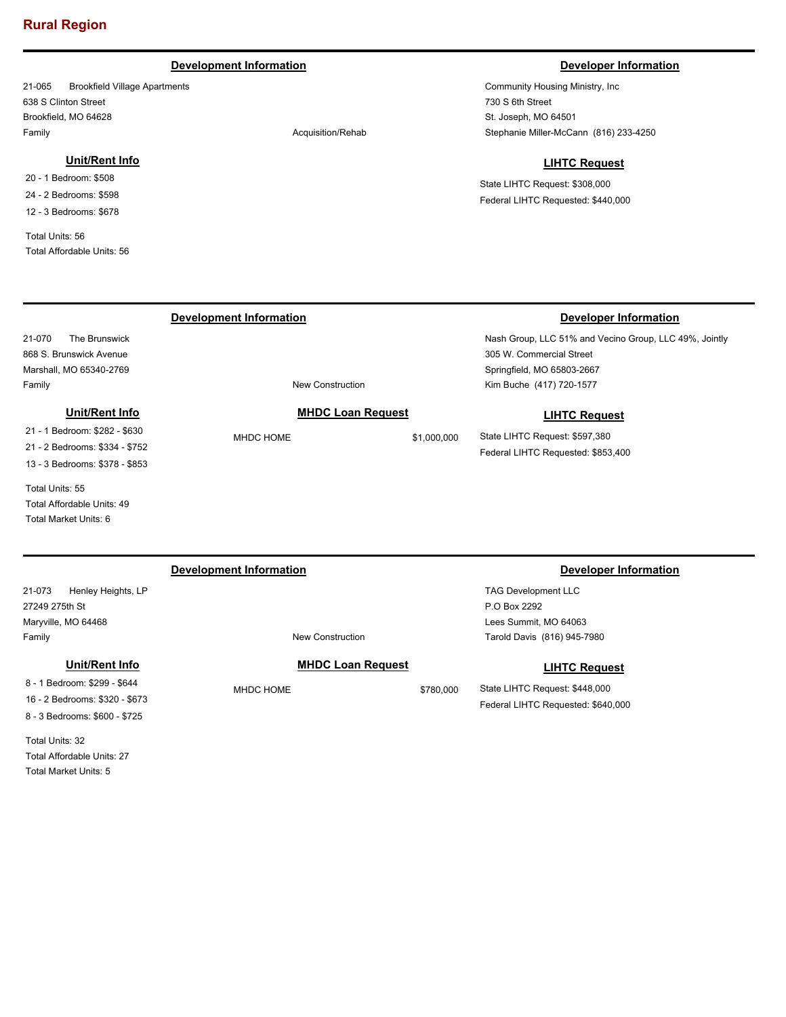### **Development Information Developer Information**

21-065 Brookfield Village Apartments 638 S Clinton Street Brookfield, MO 64628 Family **Family Acquisition/Rehab** 

### **Unit/Rent Info**

20 - 1 Bedroom: \$508 24 - 2 Bedrooms: \$598 12 - 3 Bedrooms: \$678

Total Units: 56 Total Affordable Units: 56

21-070 The Brunswick 868 S. Brunswick Avenue Marshall, MO 65340-2769

Community Housing Ministry, Inc 730 S 6th Street St. Joseph, MO 64501 Stephanie Miller-McCann (816) 233-4250

### **LIHTC Request**

State LIHTC Request: \$308,000 Federal LIHTC Requested: \$440,000

### **Development Information Developer Information**

Nash Group, LLC 51% and Vecino Group, LLC 49%, Jointly 305 W. Commercial Street Springfield, MO 65803-2667 Kim Buche (417) 720-1577

#### **LIHTC Request**

State LIHTC Request: \$597,380 Federal LIHTC Requested: \$853,400

# 21 - 1 Bedroom: \$282 - \$630

**Unit/Rent Info**

21 - 2 Bedrooms: \$334 - \$752 13 - 3 Bedrooms: \$378 - \$853

Total Units: 55 Total Affordable Units: 49 Total Market Units: 6

### **Development Information Developer Information**

Family **Family Family New Construction** 

21-073 Henley Heights, LP 27249 275th St Maryville, MO 64468 Family **Family Example 2018** The Construction **New Construction** 

# **Unit/Rent Info**

8 - 1 Bedroom: \$299 - \$644 16 - 2 Bedrooms: \$320 - \$673 8 - 3 Bedrooms: \$600 - \$725

Total Units: 32 Total Affordable Units: 27 Total Market Units: 5

#### **MHDC Loan Request**

**MHDC Loan Request** MHDC HOME \$1,000,000

### TAG Development LLC

P.O Box 2292 Lees Summit, MO 64063 Tarold Davis (816) 945-7980

**LIHTC Request**

State LIHTC Request: \$448,000 Federal LIHTC Requested: \$640,000

MHDC HOME \$780,000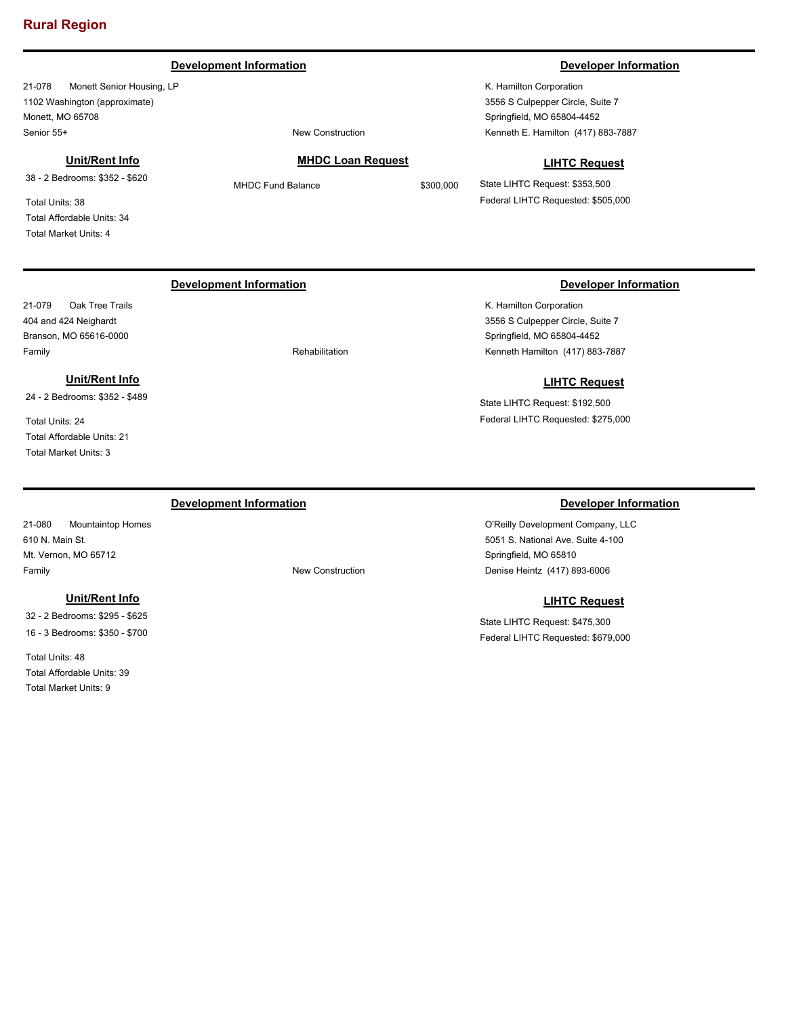### **Development Information Developer Information**

21-078 Monett Senior Housing, LP 1102 Washington (approximate) Monett, MO 65708 Senior 55+ New Construction

## **Unit/Rent Info**

38 - 2 Bedrooms: \$352 - \$620

Total Units: 38 Total Affordable Units: 34 Total Market Units: 4

21-079 Oak Tree Trails 404 and 424 Neighardt Branson, MO 65616-0000

Total Units: 24

Total Affordable Units: 21 Total Market Units: 3

**Unit/Rent Info** 24 - 2 Bedrooms: \$352 - \$489

### **MHDC Loan Request**

MHDC Fund Balance \$300,000

K. Hamilton Corporation 3556 S Culpepper Circle, Suite 7 Springfield, MO 65804-4452 Kenneth E. Hamilton (417) 883-7887

#### **LIHTC Request**

State LIHTC Request: \$353,500 Federal LIHTC Requested: \$505,000

### **Development Information Developer Information**

K. Hamilton Corporation 3556 S Culpepper Circle, Suite 7 Springfield, MO 65804-4452 Kenneth Hamilton (417) 883-7887

### **LIHTC Request**

State LIHTC Request: \$192,500 Federal LIHTC Requested: \$275,000

#### **Development Information Developer Information Developer Information**

21-080 Mountaintop Homes 610 N. Main St. Mt. Vernon, MO 65712 Family **Family Family New Construction** 

#### **Unit/Rent Info**

32 - 2 Bedrooms: \$295 - \$625 16 - 3 Bedrooms: \$350 - \$700

Total Units: 48 Total Affordable Units: 39 Total Market Units: 9

Family **Family Rehabilitation** 

## **LIHTC Request**

State LIHTC Request: \$475,300 Federal LIHTC Requested: \$679,000

O'Reilly Development Company, LLC 5051 S. National Ave. Suite 4-100

Springfield, MO 65810

Denise Heintz (417) 893-6006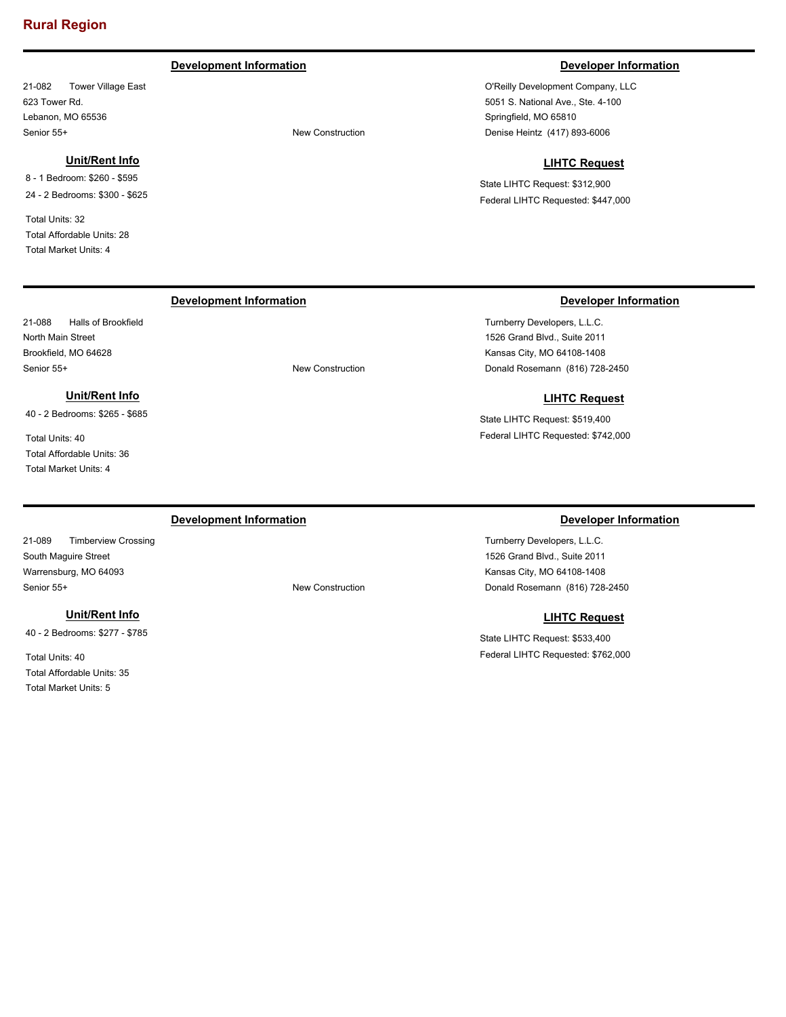### **Development Information Developer Information**

21-082 Tower Village East 623 Tower Rd. Lebanon, MO 65536 Senior 55+ New Construction

#### **Unit/Rent Info**

8 - 1 Bedroom: \$260 - \$595 24 - 2 Bedrooms: \$300 - \$625

Total Units: 32 Total Affordable Units: 28 Total Market Units: 4

21-088 Halls of Brookfield

**Unit/Rent Info** 40 - 2 Bedrooms: \$265 - \$685

North Main Street Brookfield, MO 64628

Total Units: 40

Total Affordable Units: 36 Total Market Units: 4

O'Reilly Development Company, LLC 5051 S. National Ave., Ste. 4-100 Springfield, MO 65810 Denise Heintz (417) 893-6006

### **LIHTC Request**

State LIHTC Request: \$312,900 Federal LIHTC Requested: \$447,000

#### **Development Information Developer Information**

Turnberry Developers, L.L.C. 1526 Grand Blvd., Suite 2011 Kansas City, MO 64108-1408 Donald Rosemann (816) 728-2450

#### **LIHTC Request**

State LIHTC Request: \$519,400 Federal LIHTC Requested: \$742,000

#### **Development Information Developer Information**

21-089 Timberview Crossing South Maguire Street Warrensburg, MO 64093 Senior 55+ New Construction

#### **Unit/Rent Info**

40 - 2 Bedrooms: \$277 - \$785

Total Units: 40 Total Affordable Units: 35 Total Market Units: 5

Turnberry Developers, L.L.C. 1526 Grand Blvd., Suite 2011 Kansas City, MO 64108-1408 Donald Rosemann (816) 728-2450

### **LIHTC Request**

State LIHTC Request: \$533,400 Federal LIHTC Requested: \$762,000

# Senior 55+ New Construction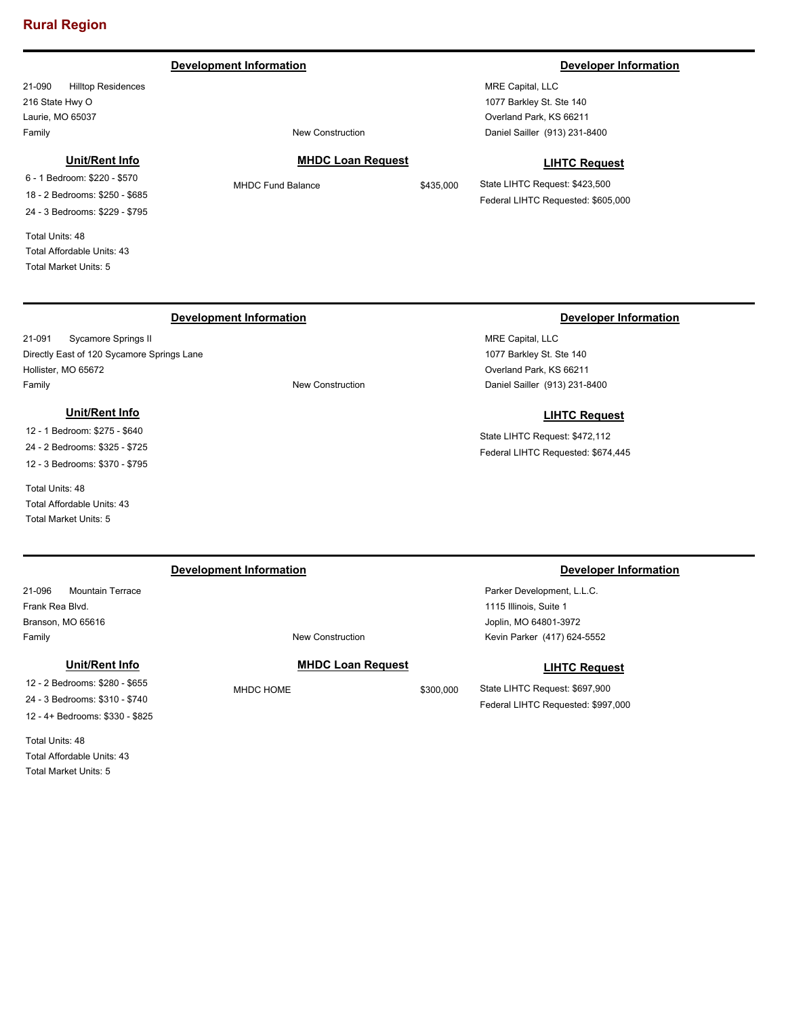#### **Development Information Developer Information**

21-090 Hilltop Residences 216 State Hwy O Laurie, MO 65037 Family **Family Family New Construction** 

6 - 1 Bedroom: \$220 - \$570 18 - 2 Bedrooms: \$250 - \$685 24 - 3 Bedrooms: \$229 - \$795

**Unit/Rent Info**

Total Units: 48 Total Affordable Units: 43 Total Market Units: 5

### **MHDC Loan Request**

MHDC Fund Balance \$435,000

State LIHTC Request: \$423,500 Federal LIHTC Requested: \$605,000

### **Development Information Developer Information**

21-091 Sycamore Springs II Directly East of 120 Sycamore Springs Lane Hollister, MO 65672 Family **Family Family New Construction** 

### **Unit/Rent Info**

12 - 1 Bedroom: \$275 - \$640 24 - 2 Bedrooms: \$325 - \$725 12 - 3 Bedrooms: \$370 - \$795

Total Units: 48 Total Affordable Units: 43 Total Market Units: 5

### **Development Information Developer Information**

21-096 Mountain Terrace Frank Rea Blvd. Branson, MO 65616 Family **Family Example 2018** The Construction **New Construction** 

### **Unit/Rent Info**

12 - 2 Bedrooms: \$280 - \$655 24 - 3 Bedrooms: \$310 - \$740 12 - 4+ Bedrooms: \$330 - \$825

Total Units: 48 Total Affordable Units: 43 Total Market Units: 5

#### **MHDC Loan Request**

MHDC HOME \$300,000

#### Parker Development, L.L.C.

1115 Illinois, Suite 1 Joplin, MO 64801-3972 Kevin Parker (417) 624-5552

**LIHTC Request**

State LIHTC Request: \$697,900 Federal LIHTC Requested: \$997,000

Daniel Sailler (913) 231-8400

MRE Capital, LLC 1077 Barkley St. Ste 140 Overland Park, KS 66211

MRE Capital, LLC 1077 Barkley St. Ste 140 Overland Park, KS 66211

Daniel Sailler (913) 231-8400

State LIHTC Request: \$472,112 Federal LIHTC Requested: \$674,445

**LIHTC Request**

**LIHTC Request**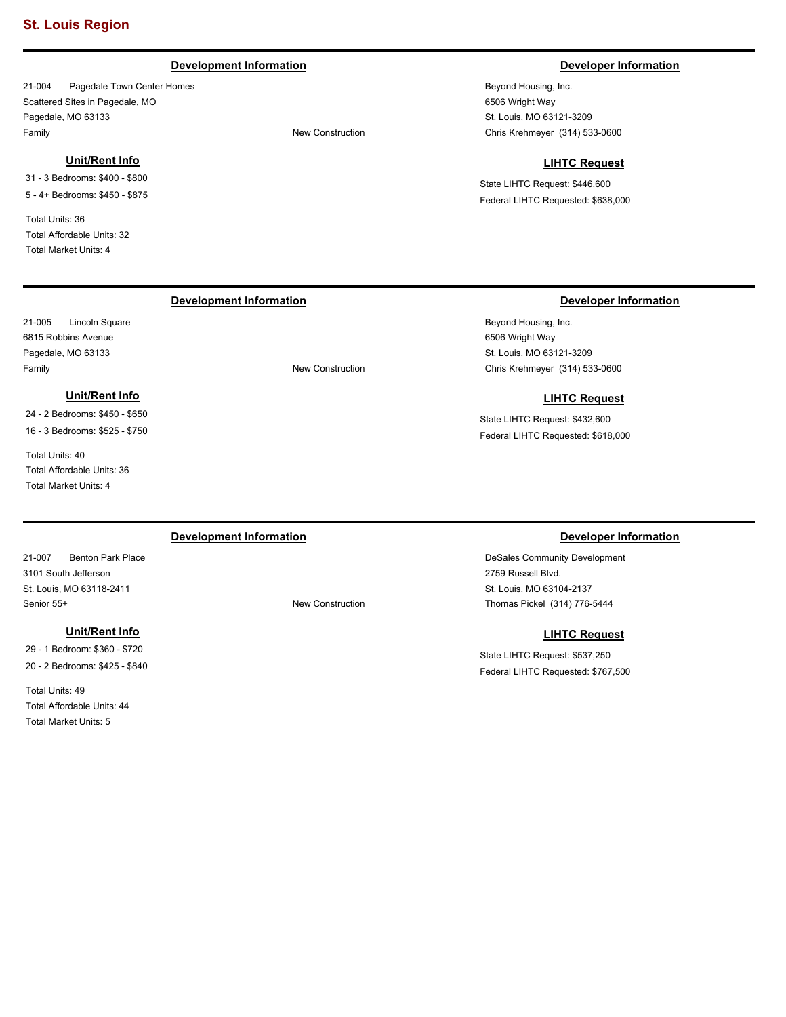### **Development Information Developer Information**

21-004 Pagedale Town Center Homes Scattered Sites in Pagedale, MO Pagedale, MO 63133 Family **Family Family New Construction** 

### **Unit/Rent Info**

31 - 3 Bedrooms: \$400 - \$800 5 - 4+ Bedrooms: \$450 - \$875

Total Units: 36 Total Affordable Units: 32 Total Market Units: 4

21-005 Lincoln Square 6815 Robbins Avenue Pagedale, MO 63133

Total Units: 40

Total Affordable Units: 36 Total Market Units: 4

**Unit/Rent Info** 24 - 2 Bedrooms: \$450 - \$650 16 - 3 Bedrooms: \$525 - \$750

Beyond Housing, Inc. 6506 Wright Way St. Louis, MO 63121-3209 Chris Krehmeyer (314) 533-0600

### **LIHTC Request**

State LIHTC Request: \$446,600 Federal LIHTC Requested: \$638,000

### **Development Information Developer Information**

Beyond Housing, Inc. 6506 Wright Way St. Louis, MO 63121-3209 Chris Krehmeyer (314) 533-0600

#### **LIHTC Request**

State LIHTC Request: \$432,600 Federal LIHTC Requested: \$618,000

#### **Development Information Developer Information**

21-007 Benton Park Place 3101 South Jefferson St. Louis, MO 63118-2411 Senior 55+ New Construction

#### **Unit/Rent Info**

29 - 1 Bedroom: \$360 - \$720 20 - 2 Bedrooms: \$425 - \$840

Total Units: 49 Total Affordable Units: 44 Total Market Units: 5

DeSales Community Development 2759 Russell Blvd. St. Louis, MO 63104-2137 Thomas Pickel (314) 776-5444

### **LIHTC Request**

State LIHTC Request: \$537,250 Federal LIHTC Requested: \$767,500

Family **Family New Construction**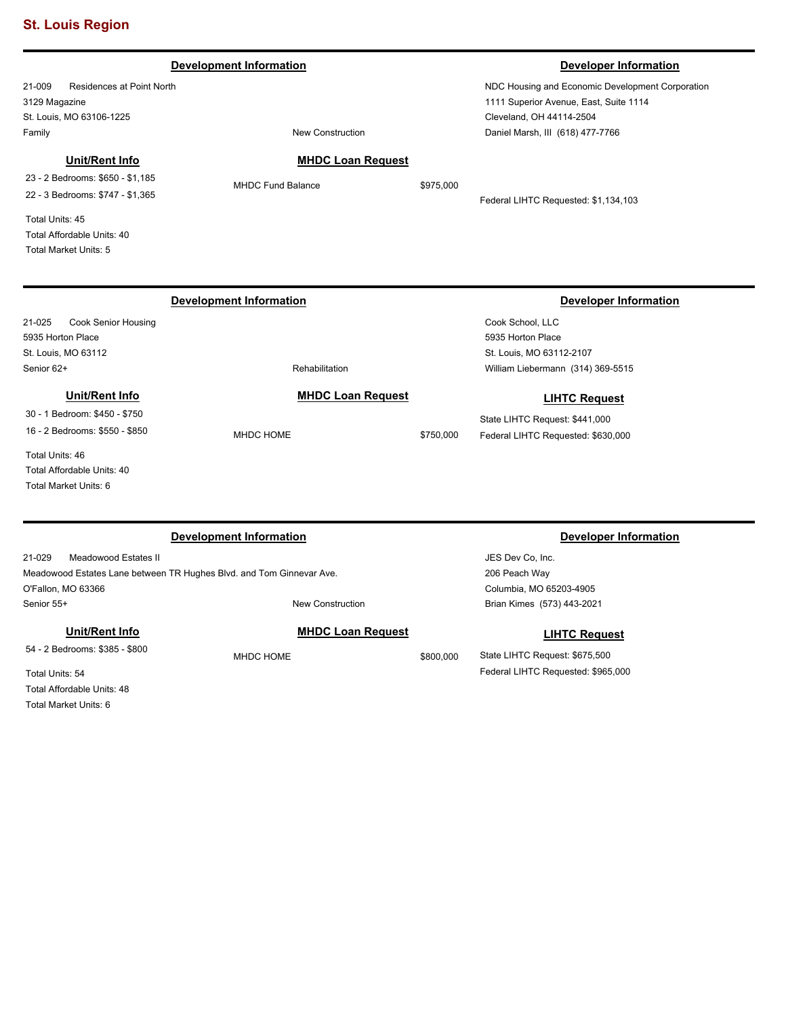### **Development Information Developer Information Developer Information**

21-009 Residences at Point North 3129 Magazine St. Louis, MO 63106-1225 Family **Family Family New Construction** 

#### **Unit/Rent Info**

23 - 2 Bedrooms: \$650 - \$1,185 22 - 3 Bedrooms: \$747 - \$1,365

Total Units: 45 Total Affordable Units: 40 Total Market Units: 5

**MHDC Loan Request**

Federal LIHTC Requested: \$1,134,103

| <b>Development Information</b> |           | <b>Developer Information</b>       |
|--------------------------------|-----------|------------------------------------|
|                                |           | Cook School, LLC                   |
|                                |           | 5935 Horton Place                  |
|                                |           | St. Louis, MO 63112-2107           |
| <b>Rehabilitation</b>          |           | William Liebermann (314) 369-5515  |
| <b>MHDC Loan Request</b>       |           | <b>LIHTC Request</b>               |
|                                |           | State LIHTC Request: \$441,000     |
| MHDC HOME                      | \$750,000 | Federal LIHTC Requested: \$630,000 |
|                                |           |                                    |
|                                |           |                                    |
|                                |           |                                    |
|                                |           |                                    |
|                                |           |                                    |

21-029 Meadowood Estates II Meadowood Estates Lane between TR Hughes Blvd. and Tom Ginnevar Ave. O'Fallon, MO 63366 Senior 55+ New Construction

### **Unit/Rent Info**

54 - 2 Bedrooms: \$385 - \$800

Total Units: 54 Total Affordable Units: 48 Total Market Units: 6

### **MHDC Loan Request**

MHDC HOME \$800,000

### **Development Information Developer Information**

JES Dev Co, Inc. 206 Peach Way Columbia, MO 65203-4905 Brian Kimes (573) 443-2021

### **LIHTC Request**

State LIHTC Request: \$675,500 Federal LIHTC Requested: \$965,000

NDC Housing and Economic Development Corporation 1111 Superior Avenue, East, Suite 1114 Cleveland, OH 44114-2504 Daniel Marsh, III (618) 477-7766

MHDC Fund Balance \$975,000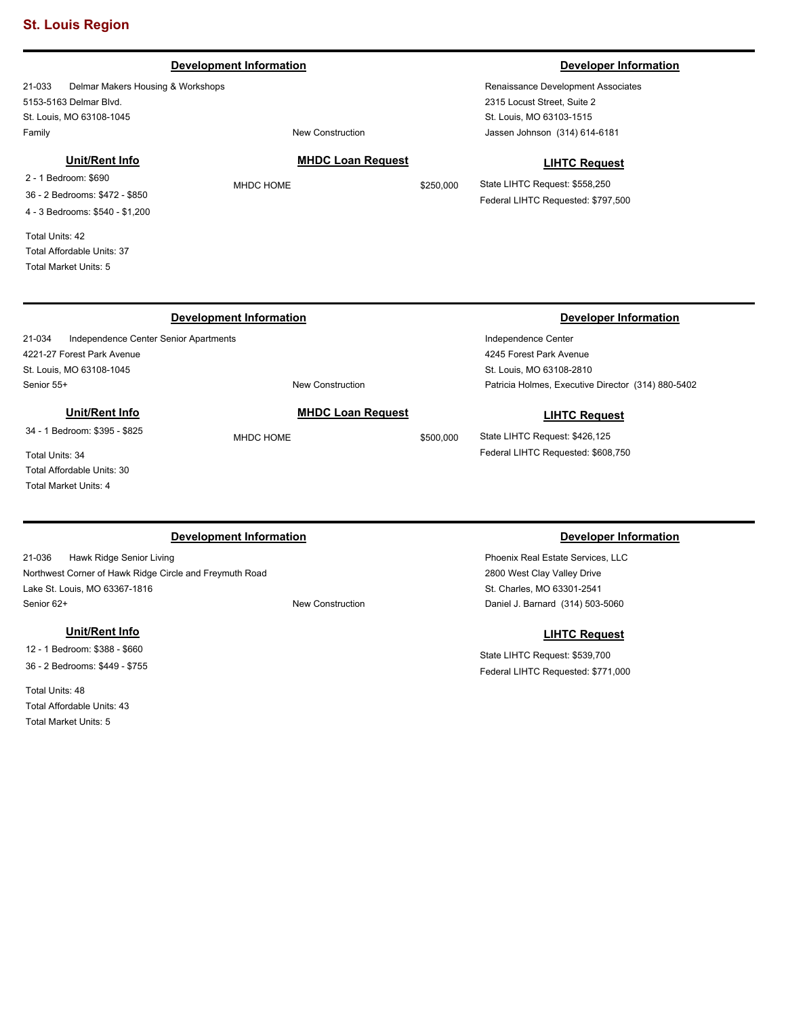#### **Development Information Developer Information**

21-033 Delmar Makers Housing & Workshops 5153-5163 Delmar Blvd. St. Louis, MO 63108-1045 Family **Family Family New Construction** 

### **Unit/Rent Info**

2 - 1 Bedroom: \$690 36 - 2 Bedrooms: \$472 - \$850 4 - 3 Bedrooms: \$540 - \$1,200

Total Units: 42 Total Affordable Units: 37 Total Market Units: 5

**MHDC Loan Request**

MHDC HOME \$250,000

Renaissance Development Associates 2315 Locust Street, Suite 2 St. Louis, MO 63103-1515 Jassen Johnson (314) 614-6181

#### **LIHTC Request**

State LIHTC Request: \$558,250 Federal LIHTC Requested: \$797,500

# **Development Information Developer Information**

21-034 Independence Center Senior Apartments 4221-27 Forest Park Avenue St. Louis, MO 63108-1045 Senior 55+ New Construction

# **Unit/Rent Info**

34 - 1 Bedroom: \$395 - \$825

Total Units: 34 Total Affordable Units: 30 Total Market Units: 4

# **Development Information Developer Information**

21-036 Hawk Ridge Senior Living Northwest Corner of Hawk Ridge Circle and Freymuth Road Lake St. Louis, MO 63367-1816 Senior 62+ New Construction

#### **Unit/Rent Info**

12 - 1 Bedroom: \$388 - \$660 36 - 2 Bedrooms: \$449 - \$755

Total Units: 48 Total Affordable Units: 43 Total Market Units: 5

### **MHDC Loan Request**

MHDC HOME \$500,000

Independence Center 4245 Forest Park Avenue St. Louis, MO 63108-2810 Patricia Holmes, Executive Director (314) 880-5402

#### **LIHTC Request**

State LIHTC Request: \$426,125 Federal LIHTC Requested: \$608,750

Phoenix Real Estate Services, LLC 2800 West Clay Valley Drive St. Charles, MO 63301-2541 Daniel J. Barnard (314) 503-5060

### **LIHTC Request**

State LIHTC Request: \$539,700 Federal LIHTC Requested: \$771,000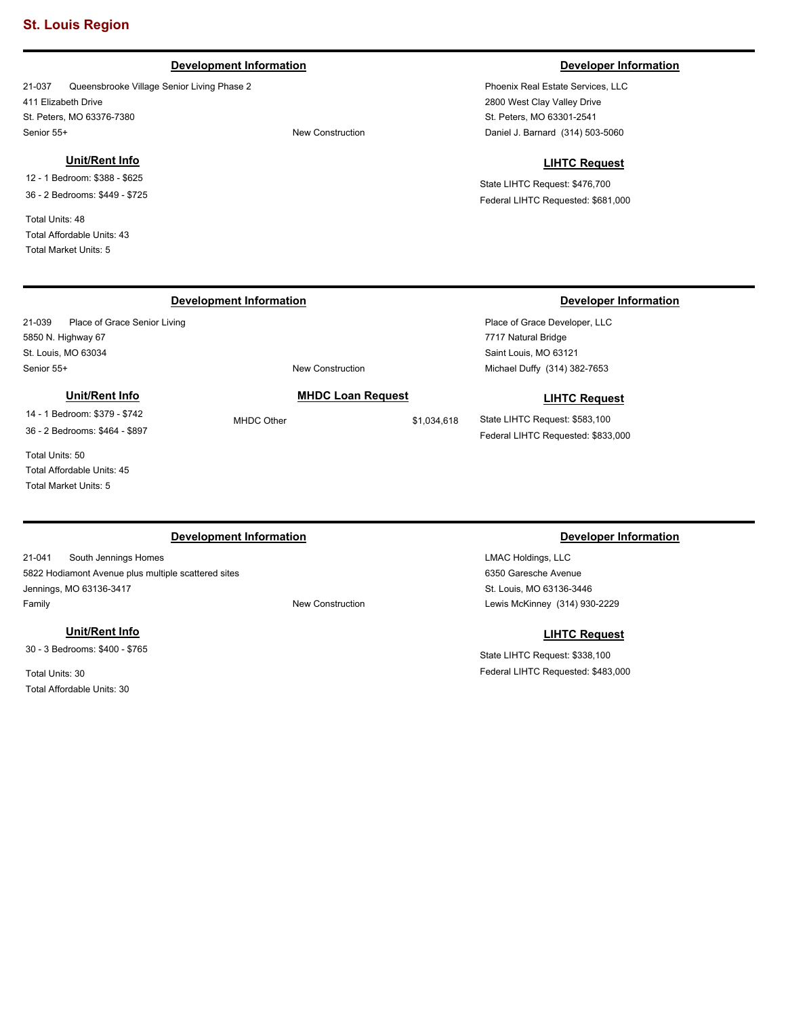### **Development Information Developer Information**

21-037 Queensbrooke Village Senior Living Phase 2 411 Elizabeth Drive St. Peters, MO 63376-7380 Senior 55+ New Construction

### **Unit/Rent Info**

12 - 1 Bedroom: \$388 - \$625 36 - 2 Bedrooms: \$449 - \$725

Total Units: 48 Total Affordable Units: 43 Total Market Units: 5

Phoenix Real Estate Services, LLC 2800 West Clay Valley Drive St. Peters, MO 63301-2541 Daniel J. Barnard (314) 503-5060

### **LIHTC Request**

State LIHTC Request: \$476,700 Federal LIHTC Requested: \$681,000

### **Development Information Developer Information**

21-039 Place of Grace Senior Living 5850 N. Highway 67 St. Louis, MO 63034 Senior 55+ New Construction

**MHDC Loan Request**

MHDC Other \$1,034,618

# **Unit/Rent Info**

14 - 1 Bedroom: \$379 - \$742 36 - 2 Bedrooms: \$464 - \$897

Total Units: 50 Total Affordable Units: 45

Total Market Units: 5

### **Development Information Developer Information**

21-041 South Jennings Homes 5822 Hodiamont Avenue plus multiple scattered sites Jennings, MO 63136-3417 Family **Family Family New Construction** 

#### **Unit/Rent Info**

30 - 3 Bedrooms: \$400 - \$765

Total Units: 30 Total Affordable Units: 30

#### Place of Grace Developer, LLC

7717 Natural Bridge Saint Louis, MO 63121 Michael Duffy (314) 382-7653

### **LIHTC Request**

State LIHTC Request: \$583,100 Federal LIHTC Requested: \$833,000

LMAC Holdings, LLC 6350 Garesche Avenue St. Louis, MO 63136-3446 Lewis McKinney (314) 930-2229

### **LIHTC Request**

State LIHTC Request: \$338,100 Federal LIHTC Requested: \$483,000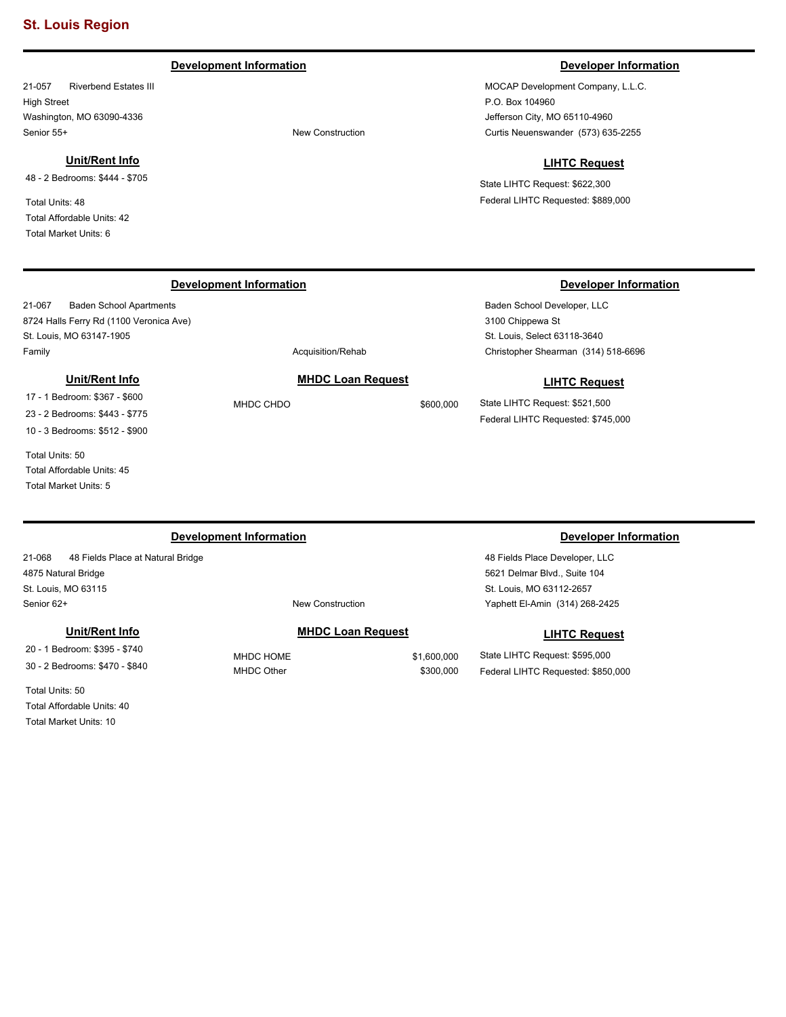### **Development Information Developer Information**

21-057 Riverbend Estates III High Street Washington, MO 63090-4336 Senior 55+ New Construction

### **Unit/Rent Info**

48 - 2 Bedrooms: \$444 - \$705

Total Units: 48 Total Affordable Units: 42 Total Market Units: 6

MOCAP Development Company, L.L.C. P.O. Box 104960 Jefferson City, MO 65110-4960 Curtis Neuenswander (573) 635-2255

#### **LIHTC Request**

State LIHTC Request: \$622,300 Federal LIHTC Requested: \$889,000

21-067 Baden School Apartments 8724 Halls Ferry Rd (1100 Veronica Ave) St. Louis, MO 63147-1905 Family **Acquisition/Rehab Acquisition/Rehab** 

#### **Unit/Rent Info**

17 - 1 Bedroom: \$367 - \$600 23 - 2 Bedrooms: \$443 - \$775 10 - 3 Bedrooms: \$512 - \$900

Total Units: 50 Total Affordable Units: 45 Total Market Units: 5

21-068 48 Fields Place at Natural Bridge 4875 Natural Bridge St. Louis, MO 63115 Senior 62+ New Construction

**Unit/Rent Info**

20 - 1 Bedroom: \$395 - \$740 30 - 2 Bedrooms: \$470 - \$840

Total Units: 50 Total Affordable Units: 40 Total Market Units: 10

MHDC CHDO \$600,000

#### **Development Information Developer Information**

Baden School Developer, LLC 3100 Chippewa St St. Louis, Select 63118-3640 Christopher Shearman (314) 518-6696

### **LIHTC Request**

State LIHTC Request: \$521,500 Federal LIHTC Requested: \$745,000

### **Development Information Developer Information**

48 Fields Place Developer, LLC 5621 Delmar Blvd., Suite 104 St. Louis, MO 63112-2657 Yaphett El-Amin (314) 268-2425

### **LIHTC Request**

State LIHTC Request: \$595,000 Federal LIHTC Requested: \$850,000

# **MHDC Loan Request**

MHDC Other \$300,000

MHDC HOME \$1,600,000

**MHDC Loan Request**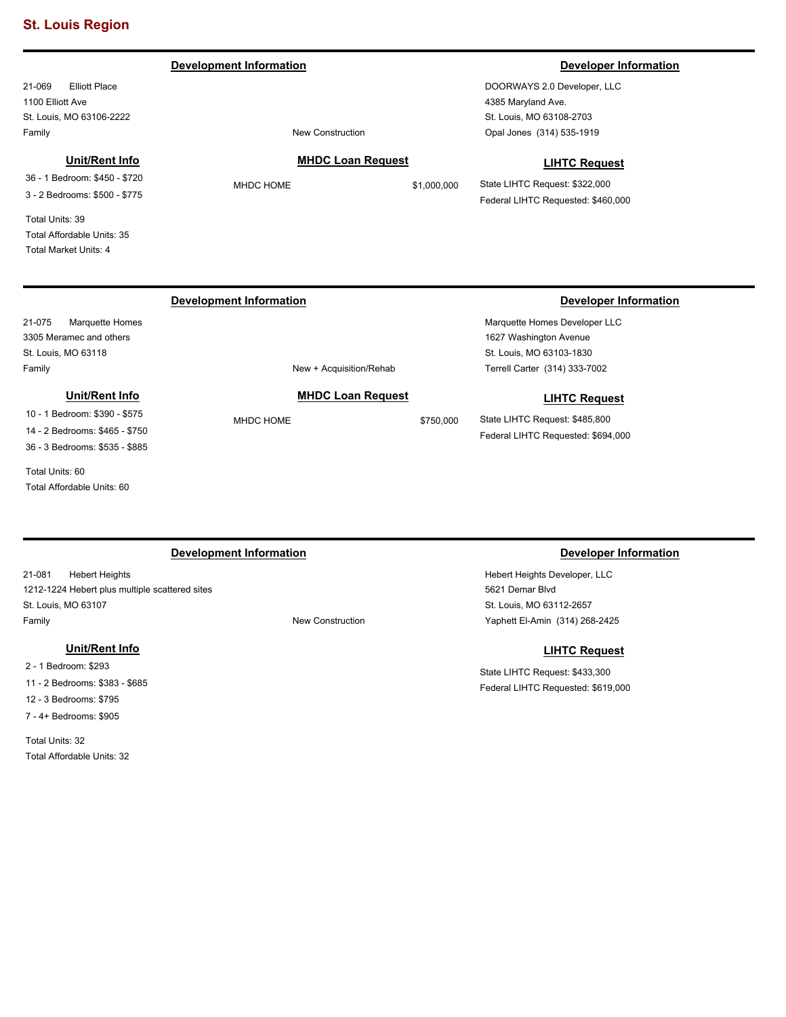**Development Information Developer Information** 

21-069 Elliott Place 1100 Elliott Ave St. Louis, MO 63106-2222 Family **Family Family New Construction** 

DOORWAYS 2.0 Developer, LLC 4385 Maryland Ave. St. Louis, MO 63108-2703 Opal Jones (314) 535-1919

### **Unit/Rent Info**

36 - 1 Bedroom: \$450 - \$720 3 - 2 Bedrooms: \$500 - \$775

Total Units: 39 Total Affordable Units: 35 Total Market Units: 4

### **MHDC Loan Request**

**MHDC Loan Request** MHDC HOME \$750,000

MHDC HOME \$1,000,000

# **LIHTC Request**

State LIHTC Request: \$322,000 Federal LIHTC Requested: \$460,000

Marquette Homes Developer LLC 1627 Washington Avenue St. Louis, MO 63103-1830

Terrell Carter (314) 333-7002

State LIHTC Request: \$485,800 Federal LIHTC Requested: \$694,000

**LIHTC Request**

# **Development Information Developer Information**

21-075 Marquette Homes 3305 Meramec and others St. Louis, MO 63118 Family **Family New + Acquisition/Rehab** 

#### **Unit/Rent Info**

10 - 1 Bedroom: \$390 - \$575 14 - 2 Bedrooms: \$465 - \$750 36 - 3 Bedrooms: \$535 - \$885

Total Units: 60 Total Affordable Units: 60

### **Development Information Developer Information**

21-081 Hebert Heights 1212-1224 Hebert plus multiple scattered sites St. Louis, MO 63107 Family **Family Family New Construction** 

### **Unit/Rent Info**

2 - 1 Bedroom: \$293 11 - 2 Bedrooms: \$383 - \$685 12 - 3 Bedrooms: \$795 7 - 4+ Bedrooms: \$905

Total Units: 32 Total Affordable Units: 32

Hebert Heights Developer, LLC 5621 Demar Blvd St. Louis, MO 63112-2657 Yaphett El-Amin (314) 268-2425

#### **LIHTC Request**

State LIHTC Request: \$433,300 Federal LIHTC Requested: \$619,000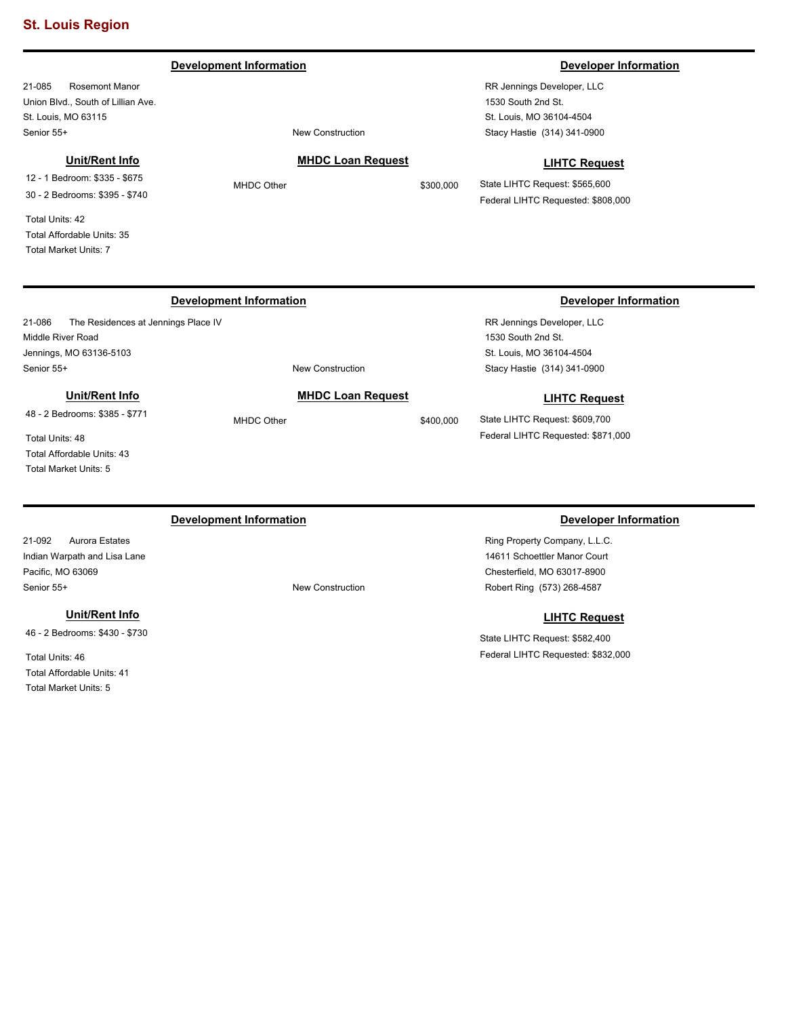#### **Development Information Developer Information**

21-085 Rosemont Manor Union Blvd., South of Lillian Ave. St. Louis, MO 63115 Senior 55+ New Construction

### **Unit/Rent Info**

12 - 1 Bedroom: \$335 - \$675 30 - 2 Bedrooms: \$395 - \$740

Total Units: 42 Total Affordable Units: 35 Total Market Units: 7

**MHDC Loan Request**

MHDC Other \$300,000

RR Jennings Developer, LLC 1530 South 2nd St. St. Louis, MO 36104-4504 Stacy Hastie (314) 341-0900

#### **LIHTC Request**

State LIHTC Request: \$565,600 Federal LIHTC Requested: \$808,000

RR Jennings Developer, LLC 1530 South 2nd St. St. Louis, MO 36104-4504

Stacy Hastie (314) 341-0900

State LIHTC Request: \$609,700 Federal LIHTC Requested: \$871,000

**LIHTC Request**

# **Development Information Developer Information**

21-086 The Residences at Jennings Place IV Middle River Road Jennings, MO 63136-5103 Senior 55+ New Construction

**MHDC Loan Request** MHDC Other \$400,000

### **Unit/Rent Info**

48 - 2 Bedrooms: \$385 - \$771

Total Units: 48 Total Affordable Units: 43 Total Market Units: 5

### **Development Information Developer Information**

21-092 Aurora Estates Indian Warpath and Lisa Lane Pacific, MO 63069 Senior 55+ New Construction

### **Unit/Rent Info**

46 - 2 Bedrooms: \$430 - \$730

Total Units: 46 Total Affordable Units: 41 Total Market Units: 5

Ring Property Company, L.L.C. 14611 Schoettler Manor Court Chesterfield, MO 63017-8900 Robert Ring (573) 268-4587

### **LIHTC Request**

State LIHTC Request: \$582,400 Federal LIHTC Requested: \$832,000